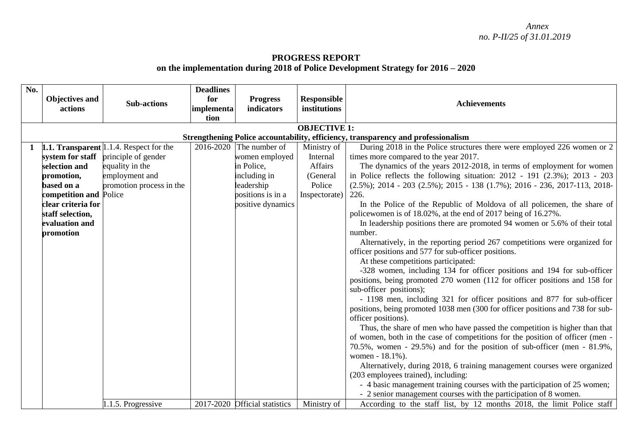## **PROGRESS REPORT on the implementation during 2018 of Police Development Strategy for 2016 – 2020**

| No. |                                                                                   |                                                | <b>Deadlines</b> |                               |                    |                                                                                       |  |  |  |  |
|-----|-----------------------------------------------------------------------------------|------------------------------------------------|------------------|-------------------------------|--------------------|---------------------------------------------------------------------------------------|--|--|--|--|
|     | Objectives and                                                                    |                                                | for              | <b>Progress</b>               | <b>Responsible</b> |                                                                                       |  |  |  |  |
|     | actions                                                                           | <b>Sub-actions</b>                             | implementa       | indicators                    | institutions       | <b>Achievements</b>                                                                   |  |  |  |  |
|     |                                                                                   |                                                | tion             |                               |                    |                                                                                       |  |  |  |  |
|     | <b>OBJECTIVE 1:</b>                                                               |                                                |                  |                               |                    |                                                                                       |  |  |  |  |
|     | Strengthening Police accountability, efficiency, transparency and professionalism |                                                |                  |                               |                    |                                                                                       |  |  |  |  |
|     |                                                                                   | <b>1.1. Transparent</b> 1.1.4. Respect for the |                  | $2016 - 2020$ The number of   | Ministry of        | During 2018 in the Police structures there were employed 226 women or 2               |  |  |  |  |
|     | system for staff                                                                  | principle of gender                            |                  | women employed                | Internal           | times more compared to the year 2017.                                                 |  |  |  |  |
|     | selection and                                                                     | equality in the                                |                  | in Police,                    | Affairs            | The dynamics of the years 2012-2018, in terms of employment for women                 |  |  |  |  |
|     | promotion,                                                                        | employment and                                 |                  | including in                  | (General           | in Police reflects the following situation: $2012 - 191$ (2.3%); $2013 - 203$         |  |  |  |  |
|     | based on a                                                                        | promotion process in the                       |                  | leadership                    | Police             | $(2.5\%)$ ; 2014 - 203 $(2.5\%)$ ; 2015 - 138 $(1.7\%)$ ; 2016 - 236, 2017-113, 2018- |  |  |  |  |
|     | competition and Police                                                            |                                                |                  | positions is in a             | Inspectorate)      | 226.                                                                                  |  |  |  |  |
|     | clear criteria for                                                                |                                                |                  | positive dynamics             |                    | In the Police of the Republic of Moldova of all policemen, the share of               |  |  |  |  |
|     | staff selection,                                                                  |                                                |                  |                               |                    | policewomen is of 18.02%, at the end of 2017 being of 16.27%.                         |  |  |  |  |
|     | evaluation and                                                                    |                                                |                  |                               |                    | In leadership positions there are promoted 94 women or 5.6% of their total            |  |  |  |  |
|     | promotion                                                                         |                                                |                  |                               |                    | number.                                                                               |  |  |  |  |
|     |                                                                                   |                                                |                  |                               |                    | Alternatively, in the reporting period 267 competitions were organized for            |  |  |  |  |
|     |                                                                                   |                                                |                  |                               |                    | officer positions and 577 for sub-officer positions.                                  |  |  |  |  |
|     |                                                                                   |                                                |                  |                               |                    | At these competitions participated:                                                   |  |  |  |  |
|     |                                                                                   |                                                |                  |                               |                    | -328 women, including 134 for officer positions and 194 for sub-officer               |  |  |  |  |
|     |                                                                                   |                                                |                  |                               |                    | positions, being promoted 270 women (112 for officer positions and 158 for            |  |  |  |  |
|     |                                                                                   |                                                |                  |                               |                    | sub-officer positions);                                                               |  |  |  |  |
|     |                                                                                   |                                                |                  |                               |                    | - 1198 men, including 321 for officer positions and 877 for sub-officer               |  |  |  |  |
|     |                                                                                   |                                                |                  |                               |                    | positions, being promoted 1038 men (300 for officer positions and 738 for sub-        |  |  |  |  |
|     |                                                                                   |                                                |                  |                               |                    | officer positions).                                                                   |  |  |  |  |
|     |                                                                                   |                                                |                  |                               |                    | Thus, the share of men who have passed the competition is higher than that            |  |  |  |  |
|     |                                                                                   |                                                |                  |                               |                    | of women, both in the case of competitions for the position of officer (men -         |  |  |  |  |
|     |                                                                                   |                                                |                  |                               |                    | 70.5%, women - 29.5%) and for the position of sub-officer (men - $81.9\%$ ,           |  |  |  |  |
|     |                                                                                   |                                                |                  |                               |                    | women - 18.1%).                                                                       |  |  |  |  |
|     |                                                                                   |                                                |                  |                               |                    | Alternatively, during 2018, 6 training management courses were organized              |  |  |  |  |
|     |                                                                                   |                                                |                  |                               |                    | (203 employees trained), including:                                                   |  |  |  |  |
|     |                                                                                   |                                                |                  |                               |                    | - 4 basic management training courses with the participation of 25 women;             |  |  |  |  |
|     |                                                                                   |                                                |                  |                               |                    | - 2 senior management courses with the participation of 8 women.                      |  |  |  |  |
|     |                                                                                   | .1.5. Progressive                              |                  | 2017-2020 Official statistics | Ministry of        | According to the staff list, by 12 months 2018, the limit Police staff                |  |  |  |  |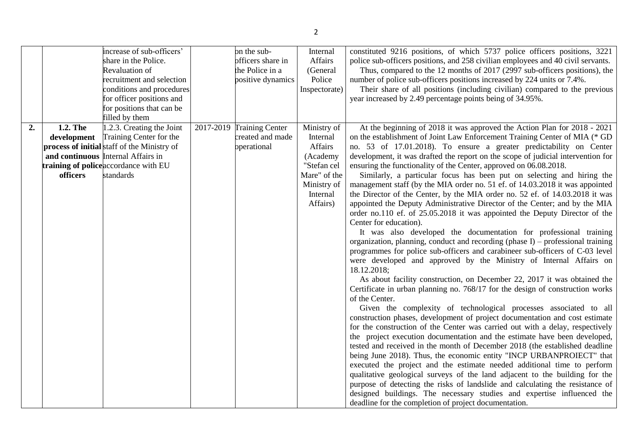|    |             | increase of sub-officers'                   | on the sub-               | Internal      | constituted 9216 positions, of which 5737 police officers positions, 3221        |
|----|-------------|---------------------------------------------|---------------------------|---------------|----------------------------------------------------------------------------------|
|    |             | share in the Police.                        | officers share in         | Affairs       | police sub-officers positions, and 258 civilian employees and 40 civil servants. |
|    |             | Revaluation of                              | the Police in a           | (General      | Thus, compared to the 12 months of 2017 (2997 sub-officers positions), the       |
|    |             | recruitment and selection                   | positive dynamics         | Police        | number of police sub-officers positions increased by 224 units or 7.4%.          |
|    |             | conditions and procedures                   |                           | Inspectorate) | Their share of all positions (including civilian) compared to the previous       |
|    |             | for officer positions and                   |                           |               | year increased by 2.49 percentage points being of 34.95%.                        |
|    |             | for positions that can be                   |                           |               |                                                                                  |
|    |             | filled by them                              |                           |               |                                                                                  |
| 2. | 1.2. The    | 1.2.3. Creating the Joint                   | 2017-2019 Training Center | Ministry of   | At the beginning of 2018 it was approved the Action Plan for 2018 - 2021         |
|    | development | Training Center for the                     | created and made          | Internal      | on the establishment of Joint Law Enforcement Training Center of MIA (* GD       |
|    |             | process of initial staff of the Ministry of | operational               | Affairs       | no. 53 of 17.01.2018). To ensure a greater predictability on Center              |
|    |             | and continuous Internal Affairs in          |                           | (Academy      | development, it was drafted the report on the scope of judicial intervention for |
|    |             | training of police accordance with EU       |                           | "Stefan cel   | ensuring the functionality of the Center, approved on 06.08.2018.                |
|    | officers    | standards                                   |                           | Mare" of the  | Similarly, a particular focus has been put on selecting and hiring the           |
|    |             |                                             |                           | Ministry of   | management staff (by the MIA order no. 51 ef. of 14.03.2018 it was appointed     |
|    |             |                                             |                           | Internal      | the Director of the Center, by the MIA order no. 52 ef. of 14.03.2018 it was     |
|    |             |                                             |                           | Affairs)      | appointed the Deputy Administrative Director of the Center; and by the MIA       |
|    |             |                                             |                           |               | order no.110 ef. of 25.05.2018 it was appointed the Deputy Director of the       |
|    |             |                                             |                           |               | Center for education).                                                           |
|    |             |                                             |                           |               | It was also developed the documentation for professional training                |
|    |             |                                             |                           |               | organization, planning, conduct and recording (phase I) - professional training  |
|    |             |                                             |                           |               | programmes for police sub-officers and carabineer sub-officers of C-03 level     |
|    |             |                                             |                           |               | were developed and approved by the Ministry of Internal Affairs on               |
|    |             |                                             |                           |               | 18.12.2018;                                                                      |
|    |             |                                             |                           |               | As about facility construction, on December 22, 2017 it was obtained the         |
|    |             |                                             |                           |               | Certificate in urban planning no. 768/17 for the design of construction works    |
|    |             |                                             |                           |               | of the Center.                                                                   |
|    |             |                                             |                           |               | Given the complexity of technological processes associated to all                |
|    |             |                                             |                           |               | construction phases, development of project documentation and cost estimate      |
|    |             |                                             |                           |               | for the construction of the Center was carried out with a delay, respectively    |
|    |             |                                             |                           |               | the project execution documentation and the estimate have been developed,        |
|    |             |                                             |                           |               | tested and received in the month of December 2018 (the established deadline      |
|    |             |                                             |                           |               | being June 2018). Thus, the economic entity "INCP URBANPROIECT" that             |
|    |             |                                             |                           |               | executed the project and the estimate needed additional time to perform          |
|    |             |                                             |                           |               | qualitative geological surveys of the land adjacent to the building for the      |
|    |             |                                             |                           |               | purpose of detecting the risks of landslide and calculating the resistance of    |
|    |             |                                             |                           |               | designed buildings. The necessary studies and expertise influenced the           |
|    |             |                                             |                           |               | deadline for the completion of project documentation.                            |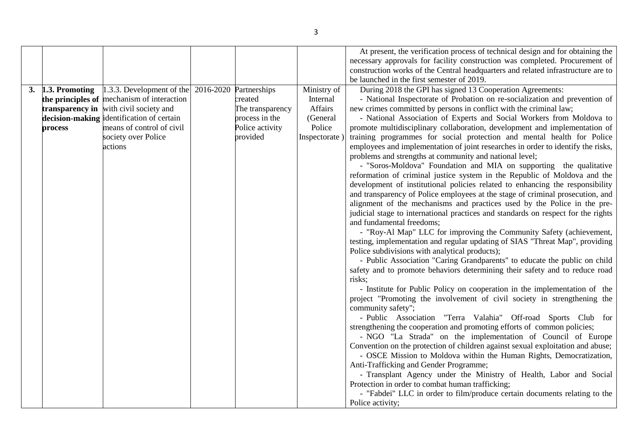|    |                                              |                                                                                                                                                                                                                         |                                                                                              |                                                                          | At present, the verification process of technical design and for obtaining the<br>necessary approvals for facility construction was completed. Procurement of<br>construction works of the Central headquarters and related infrastructure are to<br>be launched in the first semester of 2019.                                                                                                                                                                                                                                                                                                                                                                                                                                                                                                                                                                                                                                                                                                                                                                                                                                                                                                                                                                                                                                                                                                                                                                                                                                                                                                                                                                                                                                                                                                                                                                                                                                                                                                                                                                                                                                                                                                                                                                                                                           |
|----|----------------------------------------------|-------------------------------------------------------------------------------------------------------------------------------------------------------------------------------------------------------------------------|----------------------------------------------------------------------------------------------|--------------------------------------------------------------------------|---------------------------------------------------------------------------------------------------------------------------------------------------------------------------------------------------------------------------------------------------------------------------------------------------------------------------------------------------------------------------------------------------------------------------------------------------------------------------------------------------------------------------------------------------------------------------------------------------------------------------------------------------------------------------------------------------------------------------------------------------------------------------------------------------------------------------------------------------------------------------------------------------------------------------------------------------------------------------------------------------------------------------------------------------------------------------------------------------------------------------------------------------------------------------------------------------------------------------------------------------------------------------------------------------------------------------------------------------------------------------------------------------------------------------------------------------------------------------------------------------------------------------------------------------------------------------------------------------------------------------------------------------------------------------------------------------------------------------------------------------------------------------------------------------------------------------------------------------------------------------------------------------------------------------------------------------------------------------------------------------------------------------------------------------------------------------------------------------------------------------------------------------------------------------------------------------------------------------------------------------------------------------------------------------------------------------|
| 3. | 1.3. Promoting<br>transparency in<br>process | 1.3.3. Development of the 2016-2020<br>the principles of mechanism of interaction<br>with civil society and<br>decision-making identification of certain<br>means of control of civil<br>society over Police<br>actions | Partnerships<br>created<br>The transparency<br>process in the<br>Police activity<br>provided | Ministry of<br>Internal<br>Affairs<br>(General<br>Police<br>Inspectorate | During 2018 the GPI has signed 13 Cooperation Agreements:<br>- National Inspectorate of Probation on re-socialization and prevention of<br>new crimes committed by persons in conflict with the criminal law;<br>- National Association of Experts and Social Workers from Moldova to<br>promote multidisciplinary collaboration, development and implementation of<br>training programmes for social protection and mental health for Police<br>employees and implementation of joint researches in order to identify the risks,<br>problems and strengths at community and national level;<br>- "Soros-Moldova" Foundation and MIA on supporting the qualitative<br>reformation of criminal justice system in the Republic of Moldova and the<br>development of institutional policies related to enhancing the responsibility<br>and transparency of Police employees at the stage of criminal prosecution, and<br>alignment of the mechanisms and practices used by the Police in the pre-<br>judicial stage to international practices and standards on respect for the rights<br>and fundamental freedoms;<br>- "Roy-Al Map" LLC for improving the Community Safety (achievement,<br>testing, implementation and regular updating of SIAS "Threat Map", providing<br>Police subdivisions with analytical products);<br>- Public Association "Caring Grandparents" to educate the public on child<br>safety and to promote behaviors determining their safety and to reduce road<br>risks;<br>- Institute for Public Policy on cooperation in the implementation of the<br>project "Promoting the involvement of civil society in strengthening the<br>community safety";<br>- Public Association "Terra Valahia" Off-road Sports Club for<br>strengthening the cooperation and promoting efforts of common policies;<br>- NGO "La Strada" on the implementation of Council of Europe<br>Convention on the protection of children against sexual exploitation and abuse;<br>- OSCE Mission to Moldova within the Human Rights, Democratization,<br>Anti-Trafficking and Gender Programme;<br>- Transplant Agency under the Ministry of Health, Labor and Social<br>Protection in order to combat human trafficking;<br>- "Fabdei" LLC in order to film/produce certain documents relating to the<br>Police activity; |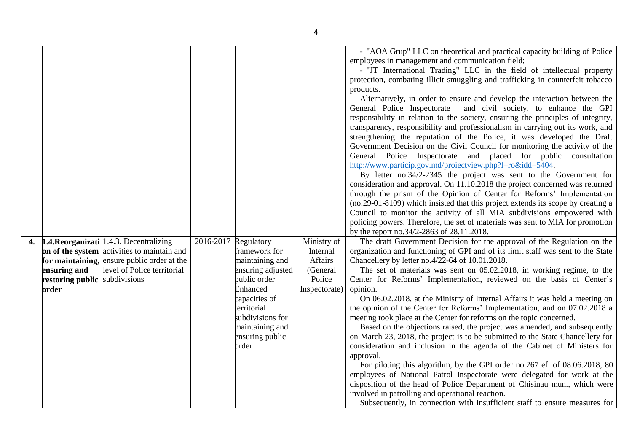|                               | 1.4. Reorganizati   1.4.3. Decentralizing<br>on of the system activities to maintain and | 2016-2017 | Regulatory<br>framework for                                                                     | Ministry of<br>Internal | - "AOA Grup" LLC on theoretical and practical capacity building of Police<br>employees in management and communication field;<br>- "JT International Trading" LLC in the field of intellectual property<br>protection, combating illicit smuggling and trafficking in counterfeit tobacco<br>products.<br>Alternatively, in order to ensure and develop the interaction between the<br>and civil society, to enhance the GPI<br>General Police Inspectorate<br>responsibility in relation to the society, ensuring the principles of integrity,<br>transparency, responsibility and professionalism in carrying out its work, and<br>strengthening the reputation of the Police, it was developed the Draft<br>Government Decision on the Civil Council for monitoring the activity of the<br>General Police Inspectorate and placed for public consultation<br>http://www.particip.gov.md/proiectview.php?l=ro&idd=5404.<br>By letter no.34/2-2345 the project was sent to the Government for<br>consideration and approval. On 11.10.2018 the project concerned was returned<br>through the prism of the Opinion of Center for Reforms' Implementation<br>(no.29-01-8109) which insisted that this project extends its scope by creating a<br>Council to monitor the activity of all MIA subdivisions empowered with<br>policing powers. Therefore, the set of materials was sent to MIA for promotion<br>by the report no.34/2-2863 of 28.11.2018.<br>The draft Government Decision for the approval of the Regulation on the<br>organization and functioning of GPI and of its limit staff was sent to the State |
|-------------------------------|------------------------------------------------------------------------------------------|-----------|-------------------------------------------------------------------------------------------------|-------------------------|----------------------------------------------------------------------------------------------------------------------------------------------------------------------------------------------------------------------------------------------------------------------------------------------------------------------------------------------------------------------------------------------------------------------------------------------------------------------------------------------------------------------------------------------------------------------------------------------------------------------------------------------------------------------------------------------------------------------------------------------------------------------------------------------------------------------------------------------------------------------------------------------------------------------------------------------------------------------------------------------------------------------------------------------------------------------------------------------------------------------------------------------------------------------------------------------------------------------------------------------------------------------------------------------------------------------------------------------------------------------------------------------------------------------------------------------------------------------------------------------------------------------------------------------------------------------------------------------------------------------|
|                               | for maintaining, ensure public order at the                                              |           | maintaining and                                                                                 | Affairs                 | Chancellery by letter no.4/22-64 of 10.01.2018.                                                                                                                                                                                                                                                                                                                                                                                                                                                                                                                                                                                                                                                                                                                                                                                                                                                                                                                                                                                                                                                                                                                                                                                                                                                                                                                                                                                                                                                                                                                                                                      |
| ensuring and                  | level of Police territorial                                                              |           | ensuring adjusted                                                                               | (General                | The set of materials was sent on 05.02.2018, in working regime, to the                                                                                                                                                                                                                                                                                                                                                                                                                                                                                                                                                                                                                                                                                                                                                                                                                                                                                                                                                                                                                                                                                                                                                                                                                                                                                                                                                                                                                                                                                                                                               |
| restoring public subdivisions |                                                                                          |           | public order                                                                                    | Police                  | Center for Reforms' Implementation, reviewed on the basis of Center's                                                                                                                                                                                                                                                                                                                                                                                                                                                                                                                                                                                                                                                                                                                                                                                                                                                                                                                                                                                                                                                                                                                                                                                                                                                                                                                                                                                                                                                                                                                                                |
| order                         |                                                                                          |           | Enhanced                                                                                        | Inspectorate)           | opinion.                                                                                                                                                                                                                                                                                                                                                                                                                                                                                                                                                                                                                                                                                                                                                                                                                                                                                                                                                                                                                                                                                                                                                                                                                                                                                                                                                                                                                                                                                                                                                                                                             |
|                               |                                                                                          |           | capacities of<br>territorial<br>subdivisions for<br>maintaining and<br>ensuring public<br>order |                         | On 06.02.2018, at the Ministry of Internal Affairs it was held a meeting on<br>the opinion of the Center for Reforms' Implementation, and on 07.02.2018 a<br>meeting took place at the Center for reforms on the topic concerned.<br>Based on the objections raised, the project was amended, and subsequently<br>on March 23, 2018, the project is to be submitted to the State Chancellery for<br>consideration and inclusion in the agenda of the Cabinet of Ministers for<br>approval.<br>For piloting this algorithm, by the GPI order no.267 ef. of 08.06.2018, 80<br>employees of National Patrol Inspectorate were delegated for work at the<br>disposition of the head of Police Department of Chisinau mun., which were<br>involved in patrolling and operational reaction.<br>Subsequently, in connection with insufficient staff to ensure measures for                                                                                                                                                                                                                                                                                                                                                                                                                                                                                                                                                                                                                                                                                                                                                  |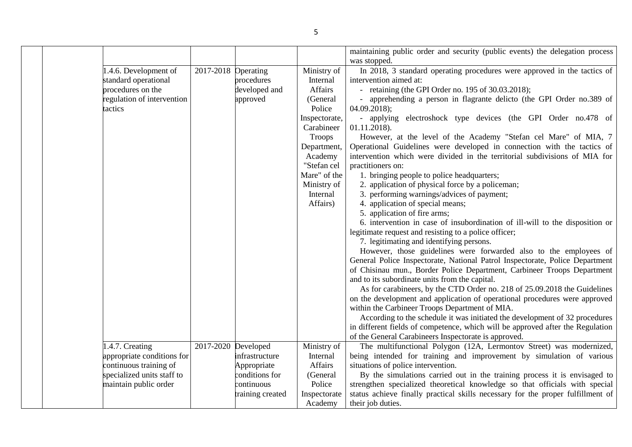|  |                                                                                                             |                     |                                                  |                                                                                                        | maintaining public order and security (public events) the delegation process<br>was stopped.                                                                                                                                                                                                                                                                                                                                                                                                                                                                                                                                                                                                                                                                                                    |
|--|-------------------------------------------------------------------------------------------------------------|---------------------|--------------------------------------------------|--------------------------------------------------------------------------------------------------------|-------------------------------------------------------------------------------------------------------------------------------------------------------------------------------------------------------------------------------------------------------------------------------------------------------------------------------------------------------------------------------------------------------------------------------------------------------------------------------------------------------------------------------------------------------------------------------------------------------------------------------------------------------------------------------------------------------------------------------------------------------------------------------------------------|
|  | 1.4.6. Development of<br>standard operational<br>procedures on the<br>regulation of intervention<br>tactics | 2017-2018 Operating | procedures<br>developed and<br>approved          | Ministry of<br>Internal<br>Affairs<br>(General<br>Police<br>Inspectorate,<br>Carabineer                | In 2018, 3 standard operating procedures were approved in the tactics of<br>intervention aimed at:<br>- retaining (the GPI Order no. 195 of 30.03.2018);<br>apprehending a person in flagrante delicto (the GPI Order no.389 of<br>$04.09.2018$ ;<br>- applying electroshock type devices (the GPI Order no.478 of<br>01.11.2018).                                                                                                                                                                                                                                                                                                                                                                                                                                                              |
|  |                                                                                                             |                     |                                                  | Troops<br>Department,<br>Academy<br>"Stefan cel<br>Mare" of the<br>Ministry of<br>Internal<br>Affairs) | However, at the level of the Academy "Stefan cel Mare" of MIA, 7<br>Operational Guidelines were developed in connection with the tactics of<br>intervention which were divided in the territorial subdivisions of MIA for<br>practitioners on:<br>1. bringing people to police headquarters;<br>2. application of physical force by a policeman;<br>3. performing warnings/advices of payment;<br>4. application of special means;                                                                                                                                                                                                                                                                                                                                                              |
|  |                                                                                                             |                     |                                                  |                                                                                                        | 5. application of fire arms;<br>6. intervention in case of insubordination of ill-will to the disposition or<br>legitimate request and resisting to a police officer;<br>7. legitimating and identifying persons.<br>However, those guidelines were forwarded also to the employees of<br>General Police Inspectorate, National Patrol Inspectorate, Police Department<br>of Chisinau mun., Border Police Department, Carbineer Troops Department<br>and to its subordinate units from the capital.<br>As for carabineers, by the CTD Order no. 218 of 25.09.2018 the Guidelines<br>on the development and application of operational procedures were approved<br>within the Carbineer Troops Department of MIA.<br>According to the schedule it was initiated the development of 32 procedures |
|  |                                                                                                             |                     |                                                  |                                                                                                        | in different fields of competence, which will be approved after the Regulation<br>of the General Carabineers Inspectorate is approved.                                                                                                                                                                                                                                                                                                                                                                                                                                                                                                                                                                                                                                                          |
|  | 1.4.7. Creating<br>appropriate conditions for<br>continuous training of                                     | 2017-2020 Developed | infrastructure<br>Appropriate                    | Ministry of<br>Internal<br>Affairs                                                                     | The multifunctional Polygon (12A, Lermontov Street) was modernized,<br>being intended for training and improvement by simulation of various<br>situations of police intervention.                                                                                                                                                                                                                                                                                                                                                                                                                                                                                                                                                                                                               |
|  | specialized units staff to<br>maintain public order                                                         |                     | conditions for<br>continuous<br>training created | (General<br>Police<br>Inspectorate<br>Academy                                                          | By the simulations carried out in the training process it is envisaged to<br>strengthen specialized theoretical knowledge so that officials with special<br>status achieve finally practical skills necessary for the proper fulfillment of<br>their job duties.                                                                                                                                                                                                                                                                                                                                                                                                                                                                                                                                |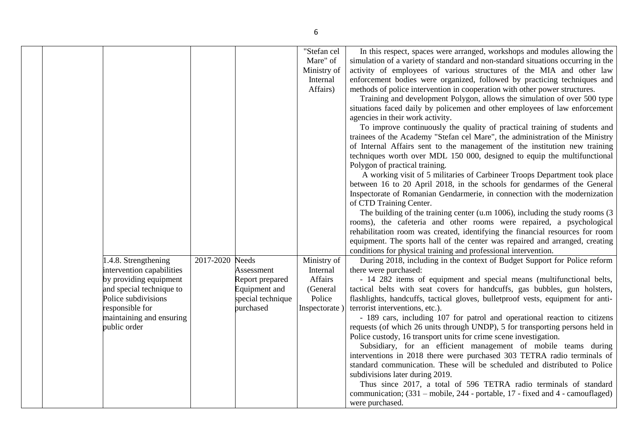| 1.4.8. Strengthening                                                            | 2017-2020 | <b>Needs</b>                                   | "Stefan cel<br>Mare" of<br>Ministry of<br>Internal<br>Affairs)<br>Ministry of | In this respect, spaces were arranged, workshops and modules allowing the<br>simulation of a variety of standard and non-standard situations occurring in the<br>activity of employees of various structures of the MIA and other law<br>enforcement bodies were organized, followed by practicing techniques and<br>methods of police intervention in cooperation with other power structures.<br>Training and development Polygon, allows the simulation of over 500 type<br>situations faced daily by policemen and other employees of law enforcement<br>agencies in their work activity.<br>To improve continuously the quality of practical training of students and<br>trainees of the Academy "Stefan cel Mare", the administration of the Ministry<br>of Internal Affairs sent to the management of the institution new training<br>techniques worth over MDL 150 000, designed to equip the multifunctional<br>Polygon of practical training.<br>A working visit of 5 militaries of Carbineer Troops Department took place<br>between 16 to 20 April 2018, in the schools for gendarmes of the General<br>Inspectorate of Romanian Gendarmerie, in connection with the modernization<br>of CTD Training Center.<br>The building of the training center (u.m $1006$ ), including the study rooms (3)<br>rooms), the cafeteria and other rooms were repaired, a psychological<br>rehabilitation room was created, identifying the financial resources for room<br>equipment. The sports hall of the center was repaired and arranged, creating<br>conditions for physical training and professional intervention.<br>During 2018, including in the context of Budget Support for Police reform |
|---------------------------------------------------------------------------------|-----------|------------------------------------------------|-------------------------------------------------------------------------------|--------------------------------------------------------------------------------------------------------------------------------------------------------------------------------------------------------------------------------------------------------------------------------------------------------------------------------------------------------------------------------------------------------------------------------------------------------------------------------------------------------------------------------------------------------------------------------------------------------------------------------------------------------------------------------------------------------------------------------------------------------------------------------------------------------------------------------------------------------------------------------------------------------------------------------------------------------------------------------------------------------------------------------------------------------------------------------------------------------------------------------------------------------------------------------------------------------------------------------------------------------------------------------------------------------------------------------------------------------------------------------------------------------------------------------------------------------------------------------------------------------------------------------------------------------------------------------------------------------------------------------------------------------------------------------------------------------|
| intervention capabilities<br>by providing equipment<br>and special technique to |           | Assessment<br>Report prepared<br>Equipment and | Internal<br>Affairs<br>(General                                               | there were purchased:<br>- 14 282 items of equipment and special means (multifunctional belts,<br>tactical belts with seat covers for handcuffs, gas bubbles, gun holsters,                                                                                                                                                                                                                                                                                                                                                                                                                                                                                                                                                                                                                                                                                                                                                                                                                                                                                                                                                                                                                                                                                                                                                                                                                                                                                                                                                                                                                                                                                                                            |
| Police subdivisions<br>responsible for<br>maintaining and ensuring              |           | special technique<br>purchased                 | Police<br>Inspectorate)                                                       | flashlights, handcuffs, tactical gloves, bulletproof vests, equipment for anti-<br>terrorist interventions, etc.).<br>- 189 cars, including 107 for patrol and operational reaction to citizens                                                                                                                                                                                                                                                                                                                                                                                                                                                                                                                                                                                                                                                                                                                                                                                                                                                                                                                                                                                                                                                                                                                                                                                                                                                                                                                                                                                                                                                                                                        |
| public order                                                                    |           |                                                |                                                                               | requests (of which 26 units through UNDP), 5 for transporting persons held in<br>Police custody, 16 transport units for crime scene investigation.<br>Subsidiary, for an efficient management of mobile teams during<br>interventions in 2018 there were purchased 303 TETRA radio terminals of<br>standard communication. These will be scheduled and distributed to Police<br>subdivisions later during 2019.                                                                                                                                                                                                                                                                                                                                                                                                                                                                                                                                                                                                                                                                                                                                                                                                                                                                                                                                                                                                                                                                                                                                                                                                                                                                                        |
|                                                                                 |           |                                                |                                                                               | Thus since 2017, a total of 596 TETRA radio terminals of standard<br>communication; (331 – mobile, 244 - portable, 17 - fixed and 4 - camouflaged)<br>were purchased.                                                                                                                                                                                                                                                                                                                                                                                                                                                                                                                                                                                                                                                                                                                                                                                                                                                                                                                                                                                                                                                                                                                                                                                                                                                                                                                                                                                                                                                                                                                                  |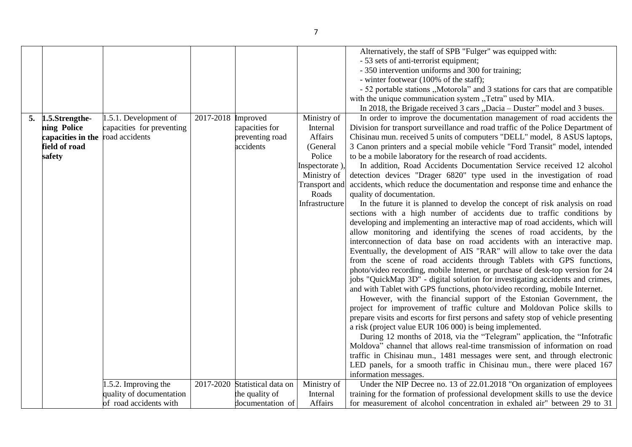|    |                   |                           |                    |                     |                | Alternatively, the staff of SPB "Fulger" was equipped with:                        |
|----|-------------------|---------------------------|--------------------|---------------------|----------------|------------------------------------------------------------------------------------|
|    |                   |                           |                    |                     |                | - 53 sets of anti-terrorist equipment;                                             |
|    |                   |                           |                    |                     |                | - 350 intervention uniforms and 300 for training;                                  |
|    |                   |                           |                    |                     |                | - winter footwear (100% of the staff);                                             |
|    |                   |                           |                    |                     |                | - 52 portable stations "Motorola" and 3 stations for cars that are compatible      |
|    |                   |                           |                    |                     |                | with the unique communication system "Tetra" used by MIA.                          |
|    |                   |                           |                    |                     |                | In 2018, the Brigade received 3 cars "Dacia – Duster" model and 3 buses.           |
| 5. | 1.5.Strengthe-    | 1.5.1. Development of     | 2017-2018 Improved |                     | Ministry of    | In order to improve the documentation management of road accidents the             |
|    | ning Police       | capacities for preventing |                    | capacities for      | Internal       | Division for transport surveillance and road traffic of the Police Department of   |
|    | capacities in the | road accidents            |                    | preventing road     | Affairs        | Chisinau mun. received 5 units of computers "DELL" model, 8 ASUS laptops,          |
|    | field of road     |                           |                    | accidents           | (General       | 3 Canon printers and a special mobile vehicle "Ford Transit" model, intended       |
|    | safety            |                           |                    |                     | Police         | to be a mobile laboratory for the research of road accidents.                      |
|    |                   |                           |                    |                     | Inspectorate), | In addition, Road Accidents Documentation Service received 12 alcohol              |
|    |                   |                           |                    |                     | Ministry of    | detection devices "Drager 6820" type used in the investigation of road             |
|    |                   |                           |                    |                     | Transport and  | accidents, which reduce the documentation and response time and enhance the        |
|    |                   |                           |                    |                     | Roads          | quality of documentation.                                                          |
|    |                   |                           |                    |                     | Infrastructure | In the future it is planned to develop the concept of risk analysis on road        |
|    |                   |                           |                    |                     |                | sections with a high number of accidents due to traffic conditions by              |
|    |                   |                           |                    |                     |                | developing and implementing an interactive map of road accidents, which will       |
|    |                   |                           |                    |                     |                | allow monitoring and identifying the scenes of road accidents, by the              |
|    |                   |                           |                    |                     |                | interconnection of data base on road accidents with an interactive map.            |
|    |                   |                           |                    |                     |                |                                                                                    |
|    |                   |                           |                    |                     |                | Eventually, the development of AIS "RAR" will allow to take over the data          |
|    |                   |                           |                    |                     |                | from the scene of road accidents through Tablets with GPS functions,               |
|    |                   |                           |                    |                     |                | photo/video recording, mobile Internet, or purchase of desk-top version for 24     |
|    |                   |                           |                    |                     |                | jobs "QuickMap 3D" - digital solution for investigating accidents and crimes,      |
|    |                   |                           |                    |                     |                | and with Tablet with GPS functions, photo/video recording, mobile Internet.        |
|    |                   |                           |                    |                     |                | However, with the financial support of the Estonian Government, the                |
|    |                   |                           |                    |                     |                | project for improvement of traffic culture and Moldovan Police skills to           |
|    |                   |                           |                    |                     |                | prepare visits and escorts for first persons and safety stop of vehicle presenting |
|    |                   |                           |                    |                     |                | a risk (project value EUR 106 000) is being implemented.                           |
|    |                   |                           |                    |                     |                | During 12 months of 2018, via the "Telegram" application, the "Infotrafic          |
|    |                   |                           |                    |                     |                | Moldova" channel that allows real-time transmission of information on road         |
|    |                   |                           |                    |                     |                | traffic in Chisinau mun., 1481 messages were sent, and through electronic          |
|    |                   |                           |                    |                     |                | LED panels, for a smooth traffic in Chisinau mun., there were placed 167           |
|    |                   |                           |                    |                     |                | information messages.                                                              |
|    |                   | 1.5.2. Improving the      | 2017-2020          | Statistical data on | Ministry of    | Under the NIP Decree no. 13 of 22.01.2018 "On organization of employees            |
|    |                   | quality of documentation  |                    | the quality of      | Internal       | training for the formation of professional development skills to use the device    |
|    |                   | of road accidents with    |                    | documentation of    | Affairs        | for measurement of alcohol concentration in exhaled air" between 29 to 31          |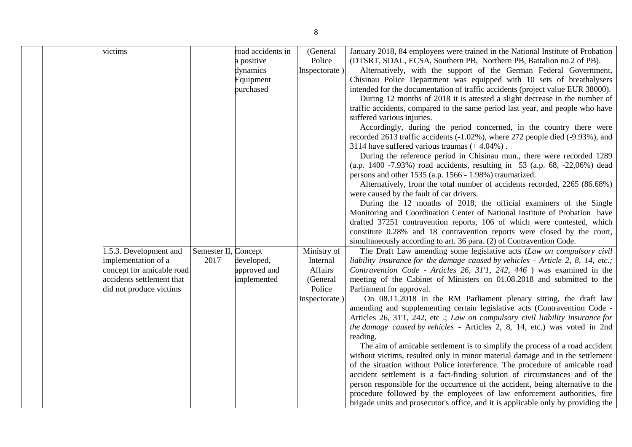| victims                                                                                                                           |                              | road accidents in<br>a positive<br>dynamics<br>Equipment<br>purchased | (General<br>Police<br>Inspectorate)                      | January 2018, 84 employees were trained in the National Institute of Probation<br>(DTSRT, SDAL, ECSA, Southern PB, Northern PB, Battalion no.2 of PB).<br>Alternatively, with the support of the German Federal Government,<br>Chisinau Police Department was equipped with 10 sets of breathalysers<br>intended for the documentation of traffic accidents (project value EUR 38000).<br>During 12 months of 2018 it is attested a slight decrease in the number of<br>traffic accidents, compared to the same period last year, and people who have<br>suffered various injuries.<br>Accordingly, during the period concerned, in the country there were |
|-----------------------------------------------------------------------------------------------------------------------------------|------------------------------|-----------------------------------------------------------------------|----------------------------------------------------------|------------------------------------------------------------------------------------------------------------------------------------------------------------------------------------------------------------------------------------------------------------------------------------------------------------------------------------------------------------------------------------------------------------------------------------------------------------------------------------------------------------------------------------------------------------------------------------------------------------------------------------------------------------|
|                                                                                                                                   |                              |                                                                       |                                                          | recorded 2613 traffic accidents (-1.02%), where 272 people died (-9.93%), and<br>3114 have suffered various traumas $(+4.04\%)$ .<br>During the reference period in Chisinau mun., there were recorded 1289<br>(a.p. 1400 -7.93%) road accidents, resulting in 53 (a.p. 68, -22,06%) dead                                                                                                                                                                                                                                                                                                                                                                  |
|                                                                                                                                   |                              |                                                                       |                                                          | persons and other 1535 (a.p. 1566 - 1.98%) traumatized.<br>Alternatively, from the total number of accidents recorded, 2265 (86.68%)<br>were caused by the fault of car drivers.                                                                                                                                                                                                                                                                                                                                                                                                                                                                           |
|                                                                                                                                   |                              |                                                                       |                                                          | During the 12 months of 2018, the official examiners of the Single<br>Monitoring and Coordination Center of National Institute of Probation have<br>drafted 37251 contravention reports, 106 of which were contested, which<br>constitute 0.28% and 18 contravention reports were closed by the court,                                                                                                                                                                                                                                                                                                                                                     |
|                                                                                                                                   |                              |                                                                       |                                                          | simultaneously according to art. 36 para. (2) of Contravention Code.                                                                                                                                                                                                                                                                                                                                                                                                                                                                                                                                                                                       |
| .5.3. Development and<br>implementation of a<br>concept for amicable road<br>accidents settlement that<br>did not produce victims | Semester II, Concept<br>2017 | developed,<br>approved and<br>implemented                             | Ministry of<br>Internal<br>Affairs<br>(General<br>Police | The Draft Law amending some legislative acts (Law on compulsory civil<br>liability insurance for the damage caused by vehicles - Article 2, 8, 14, etc.;<br>Contravention Code - Articles 26, 31'1, 242, 446) was examined in the<br>meeting of the Cabinet of Ministers on 01.08.2018 and submitted to the<br>Parliament for approval.                                                                                                                                                                                                                                                                                                                    |
|                                                                                                                                   |                              |                                                                       | Inspectorate)                                            | On 08.11.2018 in the RM Parliament plenary sitting, the draft law<br>amending and supplementing certain legislative acts (Contravention Code -<br>Articles 26, 31'1, 242, etc .; Law on compulsory civil liability insurance for<br>the damage caused by vehicles - Articles 2, 8, 14, etc.) was voted in 2nd<br>reading.                                                                                                                                                                                                                                                                                                                                  |
|                                                                                                                                   |                              |                                                                       |                                                          | The aim of amicable settlement is to simplify the process of a road accident<br>without victims, resulted only in minor material damage and in the settlement<br>of the situation without Police interference. The procedure of amicable road<br>accident settlement is a fact-finding solution of circumstances and of the<br>person responsible for the occurrence of the accident, being alternative to the<br>procedure followed by the employees of law enforcement authorities, fire<br>brigade units and prosecutor's office, and it is applicable only by providing the                                                                            |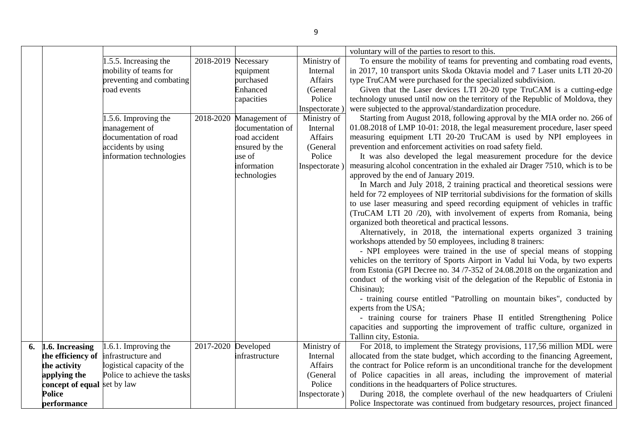|    |                             |                             |           |                         |               | voluntary will of the parties to resort to this.                                  |
|----|-----------------------------|-----------------------------|-----------|-------------------------|---------------|-----------------------------------------------------------------------------------|
|    |                             | 1.5.5. Increasing the       | 2018-2019 | Necessary               | Ministry of   | To ensure the mobility of teams for preventing and combating road events,         |
|    |                             | mobility of teams for       |           | equipment               | Internal      | in 2017, 10 transport units Skoda Oktavia model and 7 Laser units LTI 20-20       |
|    |                             | preventing and combating    |           | purchased               | Affairs       | type TruCAM were purchased for the specialized subdivision.                       |
|    |                             | road events                 |           | Enhanced                | (General      | Given that the Laser devices LTI 20-20 type TruCAM is a cutting-edge              |
|    |                             |                             |           | capacities              | Police        | technology unused until now on the territory of the Republic of Moldova, they     |
|    |                             |                             |           |                         | Inspectorate) | were subjected to the approval/standardization procedure.                         |
|    |                             | 1.5.6. Improving the        |           | 2018-2020 Management of | Ministry of   | Starting from August 2018, following approval by the MIA order no. 266 of         |
|    |                             | management of               |           | documentation of        | Internal      | 01.08.2018 of LMP 10-01: 2018, the legal measurement procedure, laser speed       |
|    |                             | documentation of road       |           | road accident           | Affairs       | measuring equipment LTI 20-20 TruCAM is used by NPI employees in                  |
|    |                             | accidents by using          |           | ensured by the          | (General      | prevention and enforcement activities on road safety field.                       |
|    |                             | information technologies    |           | use of                  | Police        | It was also developed the legal measurement procedure for the device              |
|    |                             |                             |           | information             | Inspectorate) | measuring alcohol concentration in the exhaled air Drager 7510, which is to be    |
|    |                             |                             |           | technologies            |               | approved by the end of January 2019.                                              |
|    |                             |                             |           |                         |               | In March and July 2018, 2 training practical and theoretical sessions were        |
|    |                             |                             |           |                         |               | held for 72 employees of NIP territorial subdivisions for the formation of skills |
|    |                             |                             |           |                         |               | to use laser measuring and speed recording equipment of vehicles in traffic       |
|    |                             |                             |           |                         |               | (TruCAM LTI 20 /20), with involvement of experts from Romania, being              |
|    |                             |                             |           |                         |               | organized both theoretical and practical lessons.                                 |
|    |                             |                             |           |                         |               | Alternatively, in 2018, the international experts organized 3 training            |
|    |                             |                             |           |                         |               | workshops attended by 50 employees, including 8 trainers:                         |
|    |                             |                             |           |                         |               | - NPI employees were trained in the use of special means of stopping              |
|    |                             |                             |           |                         |               | vehicles on the territory of Sports Airport in Vadul lui Voda, by two experts     |
|    |                             |                             |           |                         |               | from Estonia (GPI Decree no. 34/7-352 of 24.08.2018 on the organization and       |
|    |                             |                             |           |                         |               | conduct of the working visit of the delegation of the Republic of Estonia in      |
|    |                             |                             |           |                         |               | Chisinau);                                                                        |
|    |                             |                             |           |                         |               | - training course entitled "Patrolling on mountain bikes", conducted by           |
|    |                             |                             |           |                         |               | experts from the USA;                                                             |
|    |                             |                             |           |                         |               | - training course for trainers Phase II entitled Strengthening Police             |
|    |                             |                             |           |                         |               | capacities and supporting the improvement of traffic culture, organized in        |
|    |                             |                             |           |                         |               | Tallinn city, Estonia.                                                            |
| 6. | 1.6. Increasing             | 1.6.1. Improving the        | 2017-2020 | Developed               | Ministry of   | For 2018, to implement the Strategy provisions, 117,56 million MDL were           |
|    | the efficiency of           | infrastructure and          |           | infrastructure          | Internal      | allocated from the state budget, which according to the financing Agreement,      |
|    | the activity                | logistical capacity of the  |           |                         | Affairs       | the contract for Police reform is an unconditional tranche for the development    |
|    | applying the                | Police to achieve the tasks |           |                         | (General      | of Police capacities in all areas, including the improvement of material          |
|    | concept of equal set by law |                             |           |                         | Police        | conditions in the headquarters of Police structures.                              |
|    | <b>Police</b>               |                             |           |                         | Inspectorate) | During 2018, the complete overhaul of the new headquarters of Criuleni            |
|    | performance                 |                             |           |                         |               | Police Inspectorate was continued from budgetary resources, project financed      |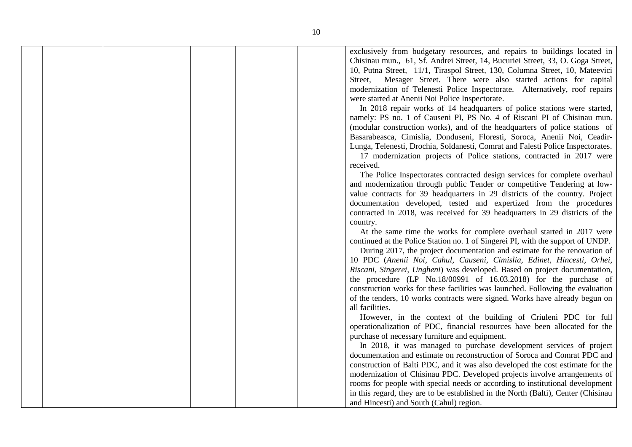|  |  |  | exclusively from budgetary resources, and repairs to buildings located in         |
|--|--|--|-----------------------------------------------------------------------------------|
|  |  |  | Chisinau mun., 61, Sf. Andrei Street, 14, Bucuriei Street, 33, O. Goga Street,    |
|  |  |  | 10, Putna Street, 11/1, Tiraspol Street, 130, Columna Street, 10, Mateevici       |
|  |  |  | Mesager Street. There were also started actions for capital<br>Street,            |
|  |  |  | modernization of Telenesti Police Inspectorate. Alternatively, roof repairs       |
|  |  |  | were started at Anenii Noi Police Inspectorate.                                   |
|  |  |  | In 2018 repair works of 14 headquarters of police stations were started,          |
|  |  |  | namely: PS no. 1 of Causeni PI, PS No. 4 of Riscani PI of Chisinau mun.           |
|  |  |  | (modular construction works), and of the headquarters of police stations of       |
|  |  |  | Basarabeasca, Cimislia, Donduseni, Floresti, Soroca, Anenii Noi, Ceadir-          |
|  |  |  |                                                                                   |
|  |  |  | Lunga, Telenesti, Drochia, Soldanesti, Comrat and Falesti Police Inspectorates.   |
|  |  |  | 17 modernization projects of Police stations, contracted in 2017 were             |
|  |  |  | received.                                                                         |
|  |  |  | The Police Inspectorates contracted design services for complete overhaul         |
|  |  |  | and modernization through public Tender or competitive Tendering at low-          |
|  |  |  | value contracts for 39 headquarters in 29 districts of the country. Project       |
|  |  |  | documentation developed, tested and expertized from the procedures                |
|  |  |  | contracted in 2018, was received for 39 headquarters in 29 districts of the       |
|  |  |  | country.                                                                          |
|  |  |  | At the same time the works for complete overhaul started in 2017 were             |
|  |  |  | continued at the Police Station no. 1 of Singerei PI, with the support of UNDP.   |
|  |  |  | During 2017, the project documentation and estimate for the renovation of         |
|  |  |  | 10 PDC (Anenii Noi, Cahul, Causeni, Cimislia, Edinet, Hincesti, Orhei,            |
|  |  |  | Riscani, Singerei, Ungheni) was developed. Based on project documentation,        |
|  |  |  | the procedure (LP No.18/00991 of 16.03.2018) for the purchase of                  |
|  |  |  | construction works for these facilities was launched. Following the evaluation    |
|  |  |  | of the tenders, 10 works contracts were signed. Works have already begun on       |
|  |  |  | all facilities.                                                                   |
|  |  |  | However, in the context of the building of Criuleni PDC for full                  |
|  |  |  | operationalization of PDC, financial resources have been allocated for the        |
|  |  |  | purchase of necessary furniture and equipment.                                    |
|  |  |  | In 2018, it was managed to purchase development services of project               |
|  |  |  | documentation and estimate on reconstruction of Soroca and Comrat PDC and         |
|  |  |  | construction of Balti PDC, and it was also developed the cost estimate for the    |
|  |  |  | modernization of Chisinau PDC. Developed projects involve arrangements of         |
|  |  |  | rooms for people with special needs or according to institutional development     |
|  |  |  | in this regard, they are to be established in the North (Balti), Center (Chisinau |
|  |  |  | and Hincesti) and South (Cahul) region.                                           |
|  |  |  |                                                                                   |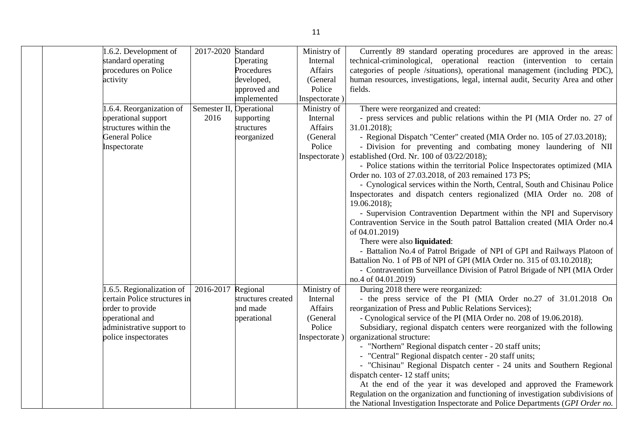|  | 1.6.2. Development of        | 2017-2020 Standard |                    | Ministry of   | Currently 89 standard operating procedures are approved in the areas:           |
|--|------------------------------|--------------------|--------------------|---------------|---------------------------------------------------------------------------------|
|  | standard operating           |                    | Operating          | Internal      | technical-criminological, operational reaction (intervention to certain         |
|  | procedures on Police         |                    | Procedures         | Affairs       | categories of people /situations), operational management (including PDC),      |
|  | activity                     |                    | developed,         | (General      | human resources, investigations, legal, internal audit, Security Area and other |
|  |                              |                    | approved and       | Police        | fields.                                                                         |
|  |                              |                    | implemented        | Inspectorate) |                                                                                 |
|  | 1.6.4. Reorganization of     | Semester II,       | Operational        | Ministry of   | There were reorganized and created:                                             |
|  | operational support          | 2016               | supporting         | Internal      | - press services and public relations within the PI (MIA Order no. 27 of        |
|  | structures within the        |                    | structures         | Affairs       | $31.01.2018$ ;                                                                  |
|  | <b>General Police</b>        |                    | reorganized        | (General      | - Regional Dispatch "Center" created (MIA Order no. 105 of 27.03.2018);         |
|  | Inspectorate                 |                    |                    | Police        | - Division for preventing and combating money laundering of NII                 |
|  |                              |                    |                    | Inspectorate) | established (Ord. Nr. 100 of 03/22/2018);                                       |
|  |                              |                    |                    |               | - Police stations within the territorial Police Inspectorates optimized (MIA    |
|  |                              |                    |                    |               | Order no. 103 of 27.03.2018, of 203 remained 173 PS;                            |
|  |                              |                    |                    |               | - Cynological services within the North, Central, South and Chisinau Police     |
|  |                              |                    |                    |               | Inspectorates and dispatch centers regionalized (MIA Order no. 208 of           |
|  |                              |                    |                    |               | $19.06.2018$ ;                                                                  |
|  |                              |                    |                    |               | - Supervision Contravention Department within the NPI and Supervisory           |
|  |                              |                    |                    |               | Contravention Service in the South patrol Battalion created (MIA Order no.4     |
|  |                              |                    |                    |               | of 04.01.2019)                                                                  |
|  |                              |                    |                    |               | There were also liquidated:                                                     |
|  |                              |                    |                    |               | - Battalion No.4 of Patrol Brigade of NPI of GPI and Railways Platoon of        |
|  |                              |                    |                    |               | Battalion No. 1 of PB of NPI of GPI (MIA Order no. 315 of 03.10.2018);          |
|  |                              |                    |                    |               | - Contravention Surveillance Division of Patrol Brigade of NPI (MIA Order       |
|  |                              |                    |                    |               | no.4 of 04.01.2019)                                                             |
|  | 1.6.5. Regionalization of    | 2016-2017 Regional |                    | Ministry of   | During 2018 there were reorganized:                                             |
|  | certain Police structures in |                    | structures created | Internal      | - the press service of the PI (MIA Order no.27 of 31.01.2018 On                 |
|  | order to provide             |                    | and made           | Affairs       | reorganization of Press and Public Relations Services);                         |
|  | operational and              |                    | operational        | (General      | - Cynological service of the PI (MIA Order no. 208 of 19.06.2018).              |
|  | administrative support to    |                    |                    | Police        | Subsidiary, regional dispatch centers were reorganized with the following       |
|  | police inspectorates         |                    |                    | Inspectorate) | organizational structure:                                                       |
|  |                              |                    |                    |               | - "Northern" Regional dispatch center - 20 staff units;                         |
|  |                              |                    |                    |               | - "Central" Regional dispatch center - 20 staff units;                          |
|  |                              |                    |                    |               | - "Chisinau" Regional Dispatch center - 24 units and Southern Regional          |
|  |                              |                    |                    |               | dispatch center-12 staff units;                                                 |
|  |                              |                    |                    |               | At the end of the year it was developed and approved the Framework              |
|  |                              |                    |                    |               | Regulation on the organization and functioning of investigation subdivisions of |
|  |                              |                    |                    |               | the National Investigation Inspectorate and Police Departments (GPI Order no.   |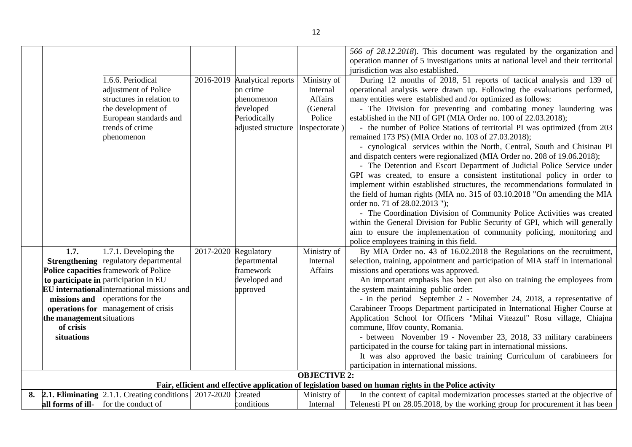|    |                           | 1.6.6. Periodical                                                                                   |           |                                                        |                                    | 566 of 28.12.2018). This document was regulated by the organization and<br>operation manner of 5 investigations units at national level and their territorial<br>jurisdiction was also established.                                                                   |
|----|---------------------------|-----------------------------------------------------------------------------------------------------|-----------|--------------------------------------------------------|------------------------------------|-----------------------------------------------------------------------------------------------------------------------------------------------------------------------------------------------------------------------------------------------------------------------|
|    |                           | adjustment of Police<br>structures in relation to                                                   |           | 2016-2019 Analytical reports<br>on crime<br>phenomenon | Ministry of<br>Internal<br>Affairs | During 12 months of 2018, 51 reports of tactical analysis and 139 of<br>operational analysis were drawn up. Following the evaluations performed,<br>many entities were established and /or optimized as follows:                                                      |
|    |                           | the development of<br>European standards and                                                        |           | developed<br>Periodically                              | (General<br>Police                 | - The Division for preventing and combating money laundering was<br>established in the NII of GPI (MIA Order no. 100 of 22.03.2018);                                                                                                                                  |
|    |                           | trends of crime<br>phenomenon                                                                       |           | adjusted structure                                     | Inspectorate)                      | - the number of Police Stations of territorial PI was optimized (from 203<br>remained 173 PS) (MIA Order no. 103 of 27.03.2018);                                                                                                                                      |
|    |                           |                                                                                                     |           |                                                        |                                    | - cynological services within the North, Central, South and Chisinau PI<br>and dispatch centers were regionalized (MIA Order no. 208 of 19.06.2018);<br>- The Detention and Escort Department of Judicial Police Service under                                        |
|    |                           |                                                                                                     |           |                                                        |                                    | GPI was created, to ensure a consistent institutional policy in order to<br>implement within established structures, the recommendations formulated in<br>the field of human rights (MIA no. 315 of 03.10.2018 "On amending the MIA<br>order no. 71 of 28.02.2013 "); |
|    |                           |                                                                                                     |           |                                                        |                                    | - The Coordination Division of Community Police Activities was created<br>within the General Division for Public Security of GPI, which will generally<br>aim to ensure the implementation of community policing, monitoring and                                      |
|    | 1.7.                      | $1.7.1$ . Developing the                                                                            | 2017-2020 | Regulatory                                             | Ministry of                        | police employees training in this field.<br>By MIA Order no. 43 of 16.02.2018 the Regulations on the recruitment,                                                                                                                                                     |
|    | <b>Strengthening</b>      | regulatory departmental                                                                             |           | departmental                                           | Internal                           | selection, training, appointment and participation of MIA staff in international                                                                                                                                                                                      |
|    |                           | Police capacities framework of Police                                                               |           | framework                                              | Affairs                            | missions and operations was approved.                                                                                                                                                                                                                                 |
|    |                           | to participate in participation in EU                                                               |           | developed and                                          |                                    | An important emphasis has been put also on training the employees from                                                                                                                                                                                                |
|    |                           | <b>EU</b> international international missions and                                                  |           | approved                                               |                                    | the system maintaining public order:                                                                                                                                                                                                                                  |
|    | missions and              | operations for the                                                                                  |           |                                                        |                                    | - in the period September 2 - November 24, 2018, a representative of                                                                                                                                                                                                  |
|    | operations for            | management of crisis                                                                                |           |                                                        |                                    | Carabineer Troops Department participated in International Higher Course at                                                                                                                                                                                           |
|    | the management situations |                                                                                                     |           |                                                        |                                    | Application School for Officers "Mihai Viteazul" Rosu village, Chiajna                                                                                                                                                                                                |
|    | of crisis                 |                                                                                                     |           |                                                        |                                    | commune, Ilfov county, Romania.                                                                                                                                                                                                                                       |
|    | situations                |                                                                                                     |           |                                                        |                                    | - between November 19 - November 23, 2018, 33 military carabineers<br>participated in the course for taking part in international missions.                                                                                                                           |
|    |                           |                                                                                                     |           |                                                        |                                    | It was also approved the basic training Curriculum of carabineers for                                                                                                                                                                                                 |
|    |                           |                                                                                                     |           |                                                        |                                    | participation in international missions.                                                                                                                                                                                                                              |
|    |                           |                                                                                                     |           |                                                        | <b>OBJECTIVE 2:</b>                |                                                                                                                                                                                                                                                                       |
|    |                           |                                                                                                     |           |                                                        |                                    | Fair, efficient and effective application of legislation based on human rights in the Police activity                                                                                                                                                                 |
| 8. |                           | <b>2.1. Eliminating</b> $\left[2.1.1\right]$ . Creating conditions $\left[2017-2020\right]$ Created |           |                                                        | Ministry of                        | In the context of capital modernization processes started at the objective of                                                                                                                                                                                         |
|    |                           | all forms of ill- for the conduct of                                                                |           | conditions                                             | Internal                           | Telenesti PI on 28.05.2018, by the working group for procurement it has been                                                                                                                                                                                          |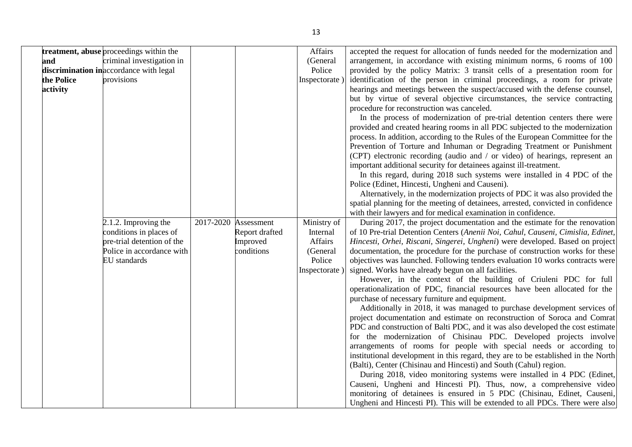|            | <b>treatment, abuse</b> proceedings within the |                      | Affairs       | accepted the request for allocation of funds needed for the modernization and     |
|------------|------------------------------------------------|----------------------|---------------|-----------------------------------------------------------------------------------|
| and        | criminal investigation in                      |                      | (General      | arrangement, in accordance with existing minimum norms, 6 rooms of 100            |
|            | discrimination in accordance with legal        |                      | Police        | provided by the policy Matrix: 3 transit cells of a presentation room for         |
| the Police | provisions                                     |                      | Inspectorate  | identification of the person in criminal proceedings, a room for private          |
| activity   |                                                |                      |               | hearings and meetings between the suspect/accused with the defense counsel,       |
|            |                                                |                      |               | but by virtue of several objective circumstances, the service contracting         |
|            |                                                |                      |               | procedure for reconstruction was canceled.                                        |
|            |                                                |                      |               | In the process of modernization of pre-trial detention centers there were         |
|            |                                                |                      |               | provided and created hearing rooms in all PDC subjected to the modernization      |
|            |                                                |                      |               | process. In addition, according to the Rules of the European Committee for the    |
|            |                                                |                      |               | Prevention of Torture and Inhuman or Degrading Treatment or Punishment            |
|            |                                                |                      |               | (CPT) electronic recording (audio and / or video) of hearings, represent an       |
|            |                                                |                      |               | important additional security for detainees against ill-treatment.                |
|            |                                                |                      |               | In this regard, during 2018 such systems were installed in 4 PDC of the           |
|            |                                                |                      |               | Police (Edinet, Hincesti, Ungheni and Causeni).                                   |
|            |                                                |                      |               | Alternatively, in the modernization projects of PDC it was also provided the      |
|            |                                                |                      |               | spatial planning for the meeting of detainees, arrested, convicted in confidence  |
|            |                                                |                      |               | with their lawyers and for medical examination in confidence.                     |
|            | 2.1.2. Improving the                           | 2017-2020 Assessment | Ministry of   | During 2017, the project documentation and the estimate for the renovation        |
|            | conditions in places of                        | Report drafted       | Internal      | of 10 Pre-trial Detention Centers (Anenii Noi, Cahul, Causeni, Cimislia, Edinet,  |
|            | pre-trial detention of the                     | Improved             | Affairs       | Hincesti, Orhei, Riscani, Singerei, Ungheni) were developed. Based on project     |
|            | Police in accordance with                      | conditions           | (General      | documentation, the procedure for the purchase of construction works for these     |
|            | EU standards                                   |                      | Police        | objectives was launched. Following tenders evaluation 10 works contracts were     |
|            |                                                |                      | Inspectorate) | signed. Works have already begun on all facilities.                               |
|            |                                                |                      |               | However, in the context of the building of Criuleni PDC for full                  |
|            |                                                |                      |               | operationalization of PDC, financial resources have been allocated for the        |
|            |                                                |                      |               | purchase of necessary furniture and equipment.                                    |
|            |                                                |                      |               | Additionally in 2018, it was managed to purchase development services of          |
|            |                                                |                      |               | project documentation and estimate on reconstruction of Soroca and Comrat         |
|            |                                                |                      |               | PDC and construction of Balti PDC, and it was also developed the cost estimate    |
|            |                                                |                      |               | for the modernization of Chisinau PDC. Developed projects involve                 |
|            |                                                |                      |               | arrangements of rooms for people with special needs or according to               |
|            |                                                |                      |               | institutional development in this regard, they are to be established in the North |
|            |                                                |                      |               | (Balti), Center (Chisinau and Hincesti) and South (Cahul) region.                 |
|            |                                                |                      |               | During 2018, video monitoring systems were installed in 4 PDC (Edinet,            |
|            |                                                |                      |               | Causeni, Ungheni and Hincesti PI). Thus, now, a comprehensive video               |
|            |                                                |                      |               | monitoring of detainees is ensured in 5 PDC (Chisinau, Edinet, Causeni,           |
|            |                                                |                      |               | Ungheni and Hincesti PI). This will be extended to all PDCs. There were also      |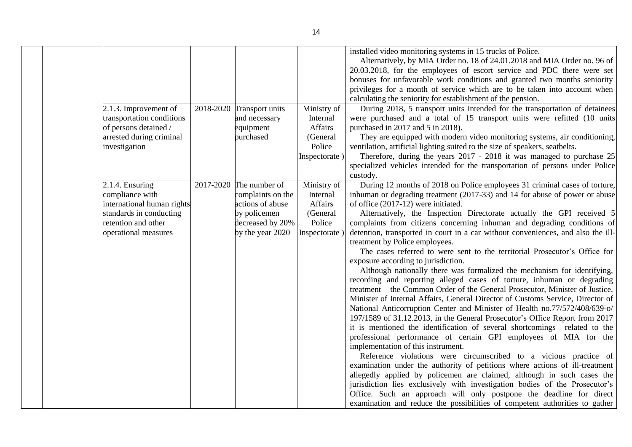| installed video monitoring systems in 15 trucks of Police.<br>calculating the seniority for establishment of the pension.<br>Ministry of<br>2.1.3. Improvement of<br>2018-2020<br>Transport units<br>transportation conditions<br>and necessary<br>Internal<br>Affairs<br>of persons detained /<br>purchased in 2017 and 5 in 2018).<br>equipment<br>arrested during criminal<br>purchased<br>(General<br>Police<br>investigation<br>Inspectorate)<br>custody.<br>The number of<br>Ministry of<br>2.1.4. Ensuring<br>2017-2020<br>complaints on the<br>compliance with<br>Internal<br>Affairs<br>international human rights<br>actions of abuse<br>of office (2017-12) were initiated.<br>standards in conducting<br>by policemen<br>(General<br>Alternatively, the Inspection Directorate actually the GPI received 5<br>retention and other<br>decreased by 20%<br>Police<br>complaints from citizens concerning inhuman and degrading conditions of<br>detention, transported in court in a car without conveniences, and also the ill-<br>operational measures<br>by the year 2020<br>Inspectorate)<br>treatment by Police employees.<br>exposure according to jurisdiction.<br>treatment – the Common Order of the General Prosecutor, Minister of Justice,<br>National Anticorruption Center and Minister of Health no.77/572/408/639-o/<br>it is mentioned the identification of several shortcomings related to the<br>implementation of this instrument. |  |  |                                                                                                                                                                                                                                                                                                                                                                                                                                                                              |
|-------------------------------------------------------------------------------------------------------------------------------------------------------------------------------------------------------------------------------------------------------------------------------------------------------------------------------------------------------------------------------------------------------------------------------------------------------------------------------------------------------------------------------------------------------------------------------------------------------------------------------------------------------------------------------------------------------------------------------------------------------------------------------------------------------------------------------------------------------------------------------------------------------------------------------------------------------------------------------------------------------------------------------------------------------------------------------------------------------------------------------------------------------------------------------------------------------------------------------------------------------------------------------------------------------------------------------------------------------------------------------------------------------------------------------------------------------------------|--|--|------------------------------------------------------------------------------------------------------------------------------------------------------------------------------------------------------------------------------------------------------------------------------------------------------------------------------------------------------------------------------------------------------------------------------------------------------------------------------|
|                                                                                                                                                                                                                                                                                                                                                                                                                                                                                                                                                                                                                                                                                                                                                                                                                                                                                                                                                                                                                                                                                                                                                                                                                                                                                                                                                                                                                                                                   |  |  | Alternatively, by MIA Order no. 18 of 24.01.2018 and MIA Order no. 96 of<br>20.03.2018, for the employees of escort service and PDC there were set<br>bonuses for unfavorable work conditions and granted two months seniority<br>privileges for a month of service which are to be taken into account when                                                                                                                                                                  |
|                                                                                                                                                                                                                                                                                                                                                                                                                                                                                                                                                                                                                                                                                                                                                                                                                                                                                                                                                                                                                                                                                                                                                                                                                                                                                                                                                                                                                                                                   |  |  |                                                                                                                                                                                                                                                                                                                                                                                                                                                                              |
|                                                                                                                                                                                                                                                                                                                                                                                                                                                                                                                                                                                                                                                                                                                                                                                                                                                                                                                                                                                                                                                                                                                                                                                                                                                                                                                                                                                                                                                                   |  |  | During 2018, 5 transport units intended for the transportation of detainees<br>were purchased and a total of 15 transport units were refitted (10 units<br>They are equipped with modern video monitoring systems, air conditioning,<br>ventilation, artificial lighting suited to the size of speakers, seatbelts.<br>Therefore, during the years 2017 - 2018 it was managed to purchase 25<br>specialized vehicles intended for the transportation of persons under Police |
|                                                                                                                                                                                                                                                                                                                                                                                                                                                                                                                                                                                                                                                                                                                                                                                                                                                                                                                                                                                                                                                                                                                                                                                                                                                                                                                                                                                                                                                                   |  |  | During 12 months of 2018 on Police employees 31 criminal cases of torture,                                                                                                                                                                                                                                                                                                                                                                                                   |
|                                                                                                                                                                                                                                                                                                                                                                                                                                                                                                                                                                                                                                                                                                                                                                                                                                                                                                                                                                                                                                                                                                                                                                                                                                                                                                                                                                                                                                                                   |  |  | inhuman or degrading treatment (2017-33) and 14 for abuse of power or abuse                                                                                                                                                                                                                                                                                                                                                                                                  |
|                                                                                                                                                                                                                                                                                                                                                                                                                                                                                                                                                                                                                                                                                                                                                                                                                                                                                                                                                                                                                                                                                                                                                                                                                                                                                                                                                                                                                                                                   |  |  |                                                                                                                                                                                                                                                                                                                                                                                                                                                                              |
|                                                                                                                                                                                                                                                                                                                                                                                                                                                                                                                                                                                                                                                                                                                                                                                                                                                                                                                                                                                                                                                                                                                                                                                                                                                                                                                                                                                                                                                                   |  |  |                                                                                                                                                                                                                                                                                                                                                                                                                                                                              |
|                                                                                                                                                                                                                                                                                                                                                                                                                                                                                                                                                                                                                                                                                                                                                                                                                                                                                                                                                                                                                                                                                                                                                                                                                                                                                                                                                                                                                                                                   |  |  |                                                                                                                                                                                                                                                                                                                                                                                                                                                                              |
|                                                                                                                                                                                                                                                                                                                                                                                                                                                                                                                                                                                                                                                                                                                                                                                                                                                                                                                                                                                                                                                                                                                                                                                                                                                                                                                                                                                                                                                                   |  |  | The cases referred to were sent to the territorial Prosecutor's Office for                                                                                                                                                                                                                                                                                                                                                                                                   |
|                                                                                                                                                                                                                                                                                                                                                                                                                                                                                                                                                                                                                                                                                                                                                                                                                                                                                                                                                                                                                                                                                                                                                                                                                                                                                                                                                                                                                                                                   |  |  | Although nationally there was formalized the mechanism for identifying,<br>recording and reporting alleged cases of torture, inhuman or degrading                                                                                                                                                                                                                                                                                                                            |
|                                                                                                                                                                                                                                                                                                                                                                                                                                                                                                                                                                                                                                                                                                                                                                                                                                                                                                                                                                                                                                                                                                                                                                                                                                                                                                                                                                                                                                                                   |  |  | Minister of Internal Affairs, General Director of Customs Service, Director of                                                                                                                                                                                                                                                                                                                                                                                               |
|                                                                                                                                                                                                                                                                                                                                                                                                                                                                                                                                                                                                                                                                                                                                                                                                                                                                                                                                                                                                                                                                                                                                                                                                                                                                                                                                                                                                                                                                   |  |  | 197/1589 of 31.12.2013, in the General Prosecutor's Office Report from 2017                                                                                                                                                                                                                                                                                                                                                                                                  |
|                                                                                                                                                                                                                                                                                                                                                                                                                                                                                                                                                                                                                                                                                                                                                                                                                                                                                                                                                                                                                                                                                                                                                                                                                                                                                                                                                                                                                                                                   |  |  | professional performance of certain GPI employees of MIA for the                                                                                                                                                                                                                                                                                                                                                                                                             |
|                                                                                                                                                                                                                                                                                                                                                                                                                                                                                                                                                                                                                                                                                                                                                                                                                                                                                                                                                                                                                                                                                                                                                                                                                                                                                                                                                                                                                                                                   |  |  |                                                                                                                                                                                                                                                                                                                                                                                                                                                                              |
|                                                                                                                                                                                                                                                                                                                                                                                                                                                                                                                                                                                                                                                                                                                                                                                                                                                                                                                                                                                                                                                                                                                                                                                                                                                                                                                                                                                                                                                                   |  |  | Reference violations were circumscribed to a vicious practice of                                                                                                                                                                                                                                                                                                                                                                                                             |
|                                                                                                                                                                                                                                                                                                                                                                                                                                                                                                                                                                                                                                                                                                                                                                                                                                                                                                                                                                                                                                                                                                                                                                                                                                                                                                                                                                                                                                                                   |  |  | examination under the authority of petitions where actions of ill-treatment                                                                                                                                                                                                                                                                                                                                                                                                  |
|                                                                                                                                                                                                                                                                                                                                                                                                                                                                                                                                                                                                                                                                                                                                                                                                                                                                                                                                                                                                                                                                                                                                                                                                                                                                                                                                                                                                                                                                   |  |  | allegedly applied by policemen are claimed, although in such cases the<br>jurisdiction lies exclusively with investigation bodies of the Prosecutor's                                                                                                                                                                                                                                                                                                                        |
|                                                                                                                                                                                                                                                                                                                                                                                                                                                                                                                                                                                                                                                                                                                                                                                                                                                                                                                                                                                                                                                                                                                                                                                                                                                                                                                                                                                                                                                                   |  |  | Office. Such an approach will only postpone the deadline for direct                                                                                                                                                                                                                                                                                                                                                                                                          |
|                                                                                                                                                                                                                                                                                                                                                                                                                                                                                                                                                                                                                                                                                                                                                                                                                                                                                                                                                                                                                                                                                                                                                                                                                                                                                                                                                                                                                                                                   |  |  | examination and reduce the possibilities of competent authorities to gather                                                                                                                                                                                                                                                                                                                                                                                                  |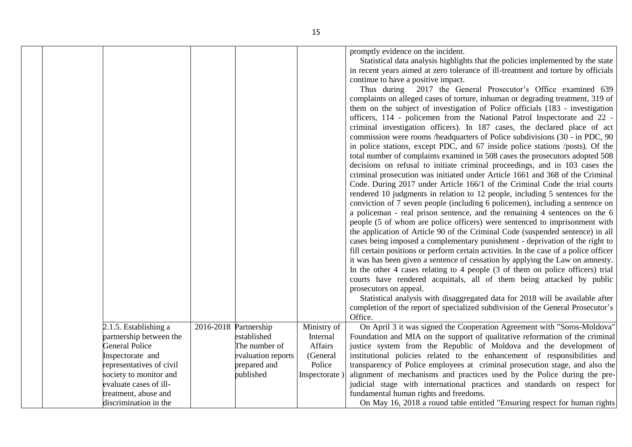|                                                                                                                                                                                                                                |                                                                                                          |                                                                           | promptly evidence on the incident.<br>Statistical data analysis highlights that the policies implemented by the state<br>in recent years aimed at zero tolerance of ill-treatment and torture by officials<br>continue to have a positive impact.<br>Thus during 2017 the General Prosecutor's Office examined 639<br>complaints on alleged cases of torture, inhuman or degrading treatment, 319 of<br>them on the subject of investigation of Police officials (183 - investigation<br>officers, 114 - policemen from the National Patrol Inspectorate and 22 -<br>criminal investigation officers). In 187 cases, the declared place of act<br>commission were rooms /headquarters of Police subdivisions (30 - in PDC, 90)<br>in police stations, except PDC, and 67 inside police stations /posts). Of the<br>total number of complaints examined in 508 cases the prosecutors adopted 508<br>decisions on refusal to initiate criminal proceedings, and in 103 cases the<br>criminal prosecution was initiated under Article 1661 and 368 of the Criminal<br>Code. During 2017 under Article 166/1 of the Criminal Code the trial courts<br>rendered 10 judgments in relation to 12 people, including 5 sentences for the<br>conviction of 7 seven people (including 6 policemen), including a sentence on<br>a policeman - real prison sentence, and the remaining 4 sentences on the 6<br>people (5 of whom are police officers) were sentenced to imprisonment with<br>the application of Article 90 of the Criminal Code (suspended sentence) in all<br>cases being imposed a complementary punishment - deprivation of the right to<br>fill certain positions or perform certain activities. In the case of a police officer<br>it was has been given a sentence of cessation by applying the Law on amnesty.<br>In the other 4 cases relating to 4 people (3 of them on police officers) trial<br>courts have rendered acquittals, all of them being attacked by public<br>prosecutors on appeal.<br>Statistical analysis with disaggregated data for 2018 will be available after<br>completion of the report of specialized subdivision of the General Prosecutor's<br>Office. |
|--------------------------------------------------------------------------------------------------------------------------------------------------------------------------------------------------------------------------------|----------------------------------------------------------------------------------------------------------|---------------------------------------------------------------------------|----------------------------------------------------------------------------------------------------------------------------------------------------------------------------------------------------------------------------------------------------------------------------------------------------------------------------------------------------------------------------------------------------------------------------------------------------------------------------------------------------------------------------------------------------------------------------------------------------------------------------------------------------------------------------------------------------------------------------------------------------------------------------------------------------------------------------------------------------------------------------------------------------------------------------------------------------------------------------------------------------------------------------------------------------------------------------------------------------------------------------------------------------------------------------------------------------------------------------------------------------------------------------------------------------------------------------------------------------------------------------------------------------------------------------------------------------------------------------------------------------------------------------------------------------------------------------------------------------------------------------------------------------------------------------------------------------------------------------------------------------------------------------------------------------------------------------------------------------------------------------------------------------------------------------------------------------------------------------------------------------------------------------------------------------------------------------------------------------------------------------------------------------------------------------------------------|
| 2.1.5. Establishing a<br>partnership between the<br><b>General Police</b><br>Inspectorate and<br>representatives of civil<br>society to monitor and<br>evaluate cases of ill-<br>treatment, abuse and<br>discrimination in the | 2016-2018 Partnership<br>established<br>The number of<br>evaluation reports<br>prepared and<br>published | Ministry of<br>Internal<br>Affairs<br>(General<br>Police<br>Inspectorate) | On April 3 it was signed the Cooperation Agreement with "Soros-Moldova"<br>Foundation and MIA on the support of qualitative reformation of the criminal<br>justice system from the Republic of Moldova and the development of<br>institutional policies related to the enhancement of responsibilities and<br>transparency of Police employees at criminal prosecution stage, and also the<br>alignment of mechanisms and practices used by the Police during the pre-<br>judicial stage with international practices and standards on respect for<br>fundamental human rights and freedoms.<br>On May 16, 2018 a round table entitled "Ensuring respect for human rights"                                                                                                                                                                                                                                                                                                                                                                                                                                                                                                                                                                                                                                                                                                                                                                                                                                                                                                                                                                                                                                                                                                                                                                                                                                                                                                                                                                                                                                                                                                                   |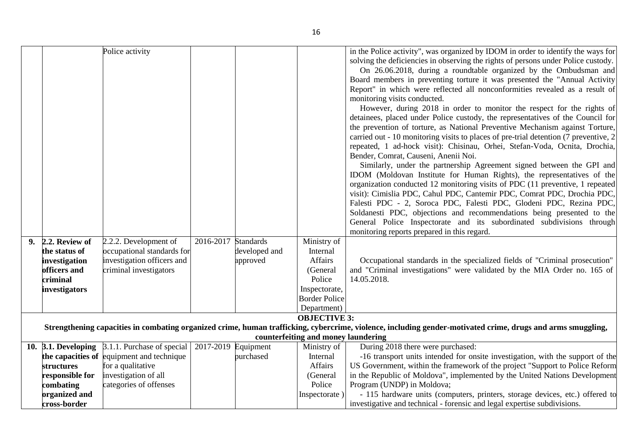|    |                     | Police activity                           |                     |               |                                     | in the Police activity", was organized by IDOM in order to identify the ways for                                                                            |
|----|---------------------|-------------------------------------------|---------------------|---------------|-------------------------------------|-------------------------------------------------------------------------------------------------------------------------------------------------------------|
|    |                     |                                           |                     |               |                                     | solving the deficiencies in observing the rights of persons under Police custody.                                                                           |
|    |                     |                                           |                     |               |                                     | On 26.06.2018, during a roundtable organized by the Ombudsman and                                                                                           |
|    |                     |                                           |                     |               |                                     | Board members in preventing torture it was presented the "Annual Activity                                                                                   |
|    |                     |                                           |                     |               |                                     | Report" in which were reflected all nonconformities revealed as a result of                                                                                 |
|    |                     |                                           |                     |               |                                     | monitoring visits conducted.                                                                                                                                |
|    |                     |                                           |                     |               |                                     | However, during 2018 in order to monitor the respect for the rights of                                                                                      |
|    |                     |                                           |                     |               |                                     | detainees, placed under Police custody, the representatives of the Council for                                                                              |
|    |                     |                                           |                     |               |                                     |                                                                                                                                                             |
|    |                     |                                           |                     |               |                                     | the prevention of torture, as National Preventive Mechanism against Torture,                                                                                |
|    |                     |                                           |                     |               |                                     | carried out - 10 monitoring visits to places of pre-trial detention (7 preventive, 2)                                                                       |
|    |                     |                                           |                     |               |                                     | repeated, 1 ad-hock visit): Chisinau, Orhei, Stefan-Voda, Ocnita, Drochia,                                                                                  |
|    |                     |                                           |                     |               |                                     | Bender, Comrat, Causeni, Anenii Noi.                                                                                                                        |
|    |                     |                                           |                     |               |                                     | Similarly, under the partnership Agreement signed between the GPI and                                                                                       |
|    |                     |                                           |                     |               |                                     | IDOM (Moldovan Institute for Human Rights), the representatives of the                                                                                      |
|    |                     |                                           |                     |               |                                     | organization conducted 12 monitoring visits of PDC (11 preventive, 1 repeated                                                                               |
|    |                     |                                           |                     |               |                                     | visit): Cimislia PDC, Cahul PDC, Cantemir PDC, Comrat PDC, Drochia PDC,                                                                                     |
|    |                     |                                           |                     |               |                                     | Falesti PDC - 2, Soroca PDC, Falesti PDC, Glodeni PDC, Rezina PDC,                                                                                          |
|    |                     |                                           |                     |               |                                     | Soldanesti PDC, objections and recommendations being presented to the                                                                                       |
|    |                     |                                           |                     |               |                                     | General Police Inspectorate and its subordinated subdivisions through                                                                                       |
|    |                     |                                           |                     |               |                                     | monitoring reports prepared in this regard.                                                                                                                 |
| 9. | 2.2. Review of      | 2.2.2. Development of                     | 2016-2017           | Standards     | Ministry of                         |                                                                                                                                                             |
|    | the status of       | occupational standards for                |                     | developed and | Internal                            |                                                                                                                                                             |
|    | investigation       | investigation officers and                |                     | approved      | Affairs                             | Occupational standards in the specialized fields of "Criminal prosecution"                                                                                  |
|    | officers and        | criminal investigators                    |                     |               | (General                            | and "Criminal investigations" were validated by the MIA Order no. 165 of                                                                                    |
|    | criminal            |                                           |                     |               | Police                              | 14.05.2018.                                                                                                                                                 |
|    | investigators       |                                           |                     |               | Inspectorate,                       |                                                                                                                                                             |
|    |                     |                                           |                     |               | <b>Border Police</b>                |                                                                                                                                                             |
|    |                     |                                           |                     |               | Department)                         |                                                                                                                                                             |
|    |                     |                                           |                     |               | <b>OBJECTIVE 3:</b>                 |                                                                                                                                                             |
|    |                     |                                           |                     |               |                                     | Strengthening capacities in combating organized crime, human trafficking, cybercrime, violence, including gender-motivated crime, drugs and arms smuggling, |
|    |                     |                                           |                     |               | counterfeiting and money laundering |                                                                                                                                                             |
|    | 10. 3.1. Developing | 3.1.1. Purchase of special                | 2017-2019 Equipment |               | Ministry of                         | During 2018 there were purchased:                                                                                                                           |
|    |                     | the capacities of equipment and technique |                     | purchased     | Internal                            | -16 transport units intended for onsite investigation, with the support of the                                                                              |
|    | <b>structures</b>   | for a qualitative                         |                     |               | Affairs                             | US Government, within the framework of the project "Support to Police Reform                                                                                |
|    | responsible for     | investigation of all                      |                     |               | (General                            | in the Republic of Moldova", implemented by the United Nations Development                                                                                  |
|    | combating           | categories of offenses                    |                     |               | Police                              | Program (UNDP) in Moldova;                                                                                                                                  |
|    | organized and       |                                           |                     |               | Inspectorate)                       | - 115 hardware units (computers, printers, storage devices, etc.) offered to                                                                                |
|    | cross-border        |                                           |                     |               |                                     | investigative and technical - forensic and legal expertise subdivisions.                                                                                    |
|    |                     |                                           |                     |               |                                     |                                                                                                                                                             |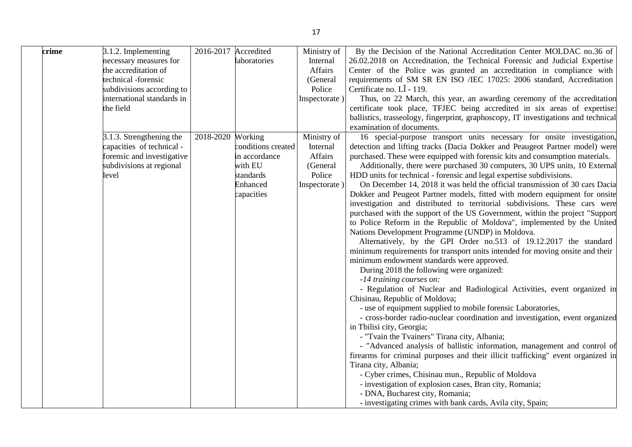| crime | 3.1.2. Implementing<br>necessary measures for<br>the accreditation of<br>technical -forensic<br>subdivisions according to<br>international standards in<br>the field | 2016-2017 | Accredited<br>laboratories                                                                       | Ministry of<br>Internal<br>Affairs<br>(General<br>Police<br>Inspectorate) | By the Decision of the National Accreditation Center MOLDAC no.36 of<br>26.02.2018 on Accreditation, the Technical Forensic and Judicial Expertise<br>Center of the Police was granted an accreditation in compliance with<br>requirements of SM SR EN ISO /IEC 17025: 2006 standard, Accreditation<br>Certificate no. LÎ - 119.<br>Thus, on 22 March, this year, an awarding ceremony of the accreditation<br>certificate took place, TFJEC being accredited in six areas of expertise:<br>ballistics, trasseology, fingerprint, graphoscopy, IT investigations and technical<br>examination of documents.                                                                                                                                                                                                                                                                                                                                                                                                                                                                                                                                                                                                                                                                                                                                                                                                                                                                  |
|-------|----------------------------------------------------------------------------------------------------------------------------------------------------------------------|-----------|--------------------------------------------------------------------------------------------------|---------------------------------------------------------------------------|------------------------------------------------------------------------------------------------------------------------------------------------------------------------------------------------------------------------------------------------------------------------------------------------------------------------------------------------------------------------------------------------------------------------------------------------------------------------------------------------------------------------------------------------------------------------------------------------------------------------------------------------------------------------------------------------------------------------------------------------------------------------------------------------------------------------------------------------------------------------------------------------------------------------------------------------------------------------------------------------------------------------------------------------------------------------------------------------------------------------------------------------------------------------------------------------------------------------------------------------------------------------------------------------------------------------------------------------------------------------------------------------------------------------------------------------------------------------------|
|       | 3.1.3. Strengthening the<br>capacities of technical -<br>forensic and investigative<br>subdivisions at regional<br>level                                             | 2018-2020 | Working<br>conditions created<br>in accordance<br>with EU<br>standards<br>Enhanced<br>capacities | Ministry of<br>Internal<br>Affairs<br>(General<br>Police<br>Inspectorate) | 16 special-purpose transport units necessary for onsite investigation,<br>detection and lifting tracks (Dacia Dokker and Peaugeot Partner model) were<br>purchased. These were equipped with forensic kits and consumption materials.<br>Additionally, there were purchased 30 computers, 30 UPS units, 10 External<br>HDD units for technical - forensic and legal expertise subdivisions.<br>On December 14, 2018 it was held the official transmission of 30 cars Dacia<br>Dokker and Peugeot Partner models, fitted with modern equipment for onsite<br>investigation and distributed to territorial subdivisions. These cars were<br>purchased with the support of the US Government, within the project "Support<br>to Police Reform in the Republic of Moldova", implemented by the United<br>Nations Development Programme (UNDP) in Moldova.<br>Alternatively, by the GPI Order no.513 of 19.12.2017 the standard<br>minimum requirements for transport units intended for moving onsite and their<br>minimum endowment standards were approved.<br>During 2018 the following were organized:<br>-14 training courses on:<br>- Regulation of Nuclear and Radiological Activities, event organized in<br>Chisinau, Republic of Moldova;<br>- use of equipment supplied to mobile forensic Laboratories,<br>- cross-border radio-nuclear coordination and investigation, event organized<br>in Tbilisi city, Georgia;<br>- "Tvain the Tvainers" Tirana city, Albania; |
|       |                                                                                                                                                                      |           |                                                                                                  |                                                                           | - "Advanced analysis of ballistic information, management and control of<br>firearms for criminal purposes and their illicit trafficking" event organized in<br>Tirana city, Albania;<br>- Cyber crimes, Chisinau mun., Republic of Moldova<br>- investigation of explosion cases, Bran city, Romania;<br>- DNA, Bucharest city, Romania;<br>- investigating crimes with bank cards, Avila city, Spain;                                                                                                                                                                                                                                                                                                                                                                                                                                                                                                                                                                                                                                                                                                                                                                                                                                                                                                                                                                                                                                                                      |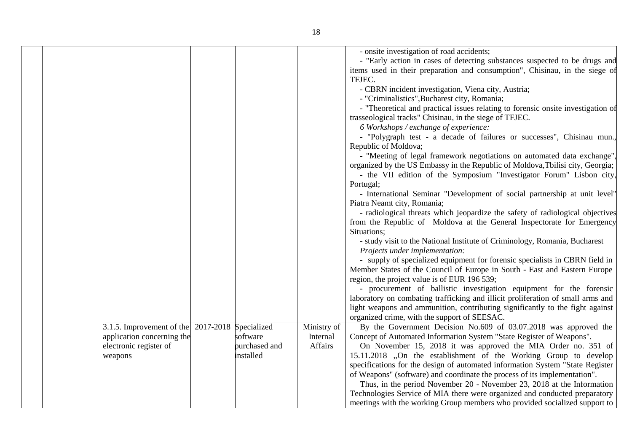| $\beta$ .1.5. Improvement of the 2017-2018           | Specialized<br>software | Ministry of<br>Internal | - onsite investigation of road accidents;<br>- "Early action in cases of detecting substances suspected to be drugs and<br>items used in their preparation and consumption", Chisinau, in the siege of<br>TFJEC.<br>- CBRN incident investigation, Viena city, Austria;<br>- "Criminalistics", Bucharest city, Romania;<br>- "Theoretical and practical issues relating to forensic onsite investigation of<br>trasseological tracks" Chisinau, in the siege of TFJEC.<br>6 Workshops / exchange of experience:<br>- "Polygraph test - a decade of failures or successes", Chisinau mun.,<br>Republic of Moldova;<br>- "Meeting of legal framework negotiations on automated data exchange"<br>organized by the US Embassy in the Republic of Moldova, Tbilisi city, Georgia;<br>- the VII edition of the Symposium "Investigator Forum" Lisbon city,<br>Portugal;<br>- International Seminar "Development of social partnership at unit level"<br>Piatra Neamt city, Romania;<br>- radiological threats which jeopardize the safety of radiological objectives<br>from the Republic of Moldova at the General Inspectorate for Emergency<br>Situations;<br>- study visit to the National Institute of Criminology, Romania, Bucharest<br>Projects under implementation:<br>- supply of specialized equipment for forensic specialists in CBRN field in<br>Member States of the Council of Europe in South - East and Eastern Europe<br>region, the project value is of EUR 196 539;<br>- procurement of ballistic investigation equipment for the forensic<br>laboratory on combating trafficking and illicit proliferation of small arms and<br>light weapons and ammunition, contributing significantly to the fight against<br>organized crime, with the support of SEESAC.<br>By the Government Decision No.609 of 03.07.2018 was approved the |
|------------------------------------------------------|-------------------------|-------------------------|-----------------------------------------------------------------------------------------------------------------------------------------------------------------------------------------------------------------------------------------------------------------------------------------------------------------------------------------------------------------------------------------------------------------------------------------------------------------------------------------------------------------------------------------------------------------------------------------------------------------------------------------------------------------------------------------------------------------------------------------------------------------------------------------------------------------------------------------------------------------------------------------------------------------------------------------------------------------------------------------------------------------------------------------------------------------------------------------------------------------------------------------------------------------------------------------------------------------------------------------------------------------------------------------------------------------------------------------------------------------------------------------------------------------------------------------------------------------------------------------------------------------------------------------------------------------------------------------------------------------------------------------------------------------------------------------------------------------------------------------------------------------------------------------------------------------------------------------------------|
| application concerning the<br>electronic register of | purchased and           | Affairs                 | Concept of Automated Information System "State Register of Weapons".<br>On November 15, 2018 it was approved the MIA Order no. 351 of                                                                                                                                                                                                                                                                                                                                                                                                                                                                                                                                                                                                                                                                                                                                                                                                                                                                                                                                                                                                                                                                                                                                                                                                                                                                                                                                                                                                                                                                                                                                                                                                                                                                                                               |
| weapons                                              | installed               |                         | 15.11.2018 "On the establishment of the Working Group to develop<br>specifications for the design of automated information System "State Register<br>of Weapons" (software) and coordinate the process of its implementation".<br>Thus, in the period November 20 - November 23, 2018 at the Information<br>Technologies Service of MIA there were organized and conducted preparatory<br>meetings with the working Group members who provided socialized support to                                                                                                                                                                                                                                                                                                                                                                                                                                                                                                                                                                                                                                                                                                                                                                                                                                                                                                                                                                                                                                                                                                                                                                                                                                                                                                                                                                                |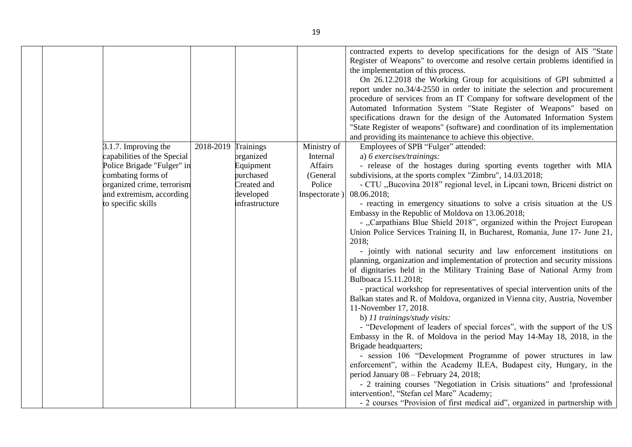| 3.1.7. Improving the<br>capabilities of the Special<br>Police Brigade "Fulger" in<br>combating forms of<br>organized crime, terrorism<br>and extremism, according<br>to specific skills | 2018-2019 | Trainings<br>organized<br>Equipment<br>purchased<br>Created and<br>developed<br>infrastructure | Ministry of<br>Internal<br>Affairs<br>(General<br>Police<br>Inspectorate) | contracted experts to develop specifications for the design of AIS "State<br>Register of Weapons" to overcome and resolve certain problems identified in<br>the implementation of this process.<br>On 26.12.2018 the Working Group for acquisitions of GPI submitted a<br>report under no.34/4-2550 in order to initiate the selection and procurement<br>procedure of services from an IT Company for software development of the<br>Automated Information System "State Register of Weapons" based on<br>specifications drawn for the design of the Automated Information System<br>"State Register of weapons" (software) and coordination of its implementation<br>and providing its maintenance to achieve this objective.<br>Employees of SPB "Fulger" attended:<br>a) $6$ exercises/trainings:<br>- release of the hostages during sporting events together with MIA<br>subdivisions, at the sports complex "Zimbru", 14.03.2018;<br>- CTU "Bucovina 2018" regional level, in Lipcani town, Briceni district on<br>08.06.2018;<br>- reacting in emergency situations to solve a crisis situation at the US<br>Embassy in the Republic of Moldova on 13.06.2018;<br>- "Carpathians Blue Shield 2018", organized within the Project European<br>Union Police Services Training II, in Bucharest, Romania, June 17- June 21,<br>2018;<br>- jointly with national security and law enforcement institutions on<br>planning, organization and implementation of protection and security missions<br>of dignitaries held in the Military Training Base of National Army from<br>Bulboaca 15.11.2018;<br>- practical workshop for representatives of special intervention units of the<br>Balkan states and R. of Moldova, organized in Vienna city, Austria, November<br>11-November 17, 2018.<br>b) 11 trainings/study visits:<br>- "Development of leaders of special forces", with the support of the US |
|-----------------------------------------------------------------------------------------------------------------------------------------------------------------------------------------|-----------|------------------------------------------------------------------------------------------------|---------------------------------------------------------------------------|--------------------------------------------------------------------------------------------------------------------------------------------------------------------------------------------------------------------------------------------------------------------------------------------------------------------------------------------------------------------------------------------------------------------------------------------------------------------------------------------------------------------------------------------------------------------------------------------------------------------------------------------------------------------------------------------------------------------------------------------------------------------------------------------------------------------------------------------------------------------------------------------------------------------------------------------------------------------------------------------------------------------------------------------------------------------------------------------------------------------------------------------------------------------------------------------------------------------------------------------------------------------------------------------------------------------------------------------------------------------------------------------------------------------------------------------------------------------------------------------------------------------------------------------------------------------------------------------------------------------------------------------------------------------------------------------------------------------------------------------------------------------------------------------------------------------------------------------------------------------------------------------------------------|
|                                                                                                                                                                                         |           |                                                                                                |                                                                           |                                                                                                                                                                                                                                                                                                                                                                                                                                                                                                                                                                                                                                                                                                                                                                                                                                                                                                                                                                                                                                                                                                                                                                                                                                                                                                                                                                                                                                                                                                                                                                                                                                                                                                                                                                                                                                                                                                              |
|                                                                                                                                                                                         |           |                                                                                                |                                                                           | Embassy in the R. of Moldova in the period May 14-May 18, 2018, in the<br>Brigade headquarters;<br>- session 106 "Development Programme of power structures in law                                                                                                                                                                                                                                                                                                                                                                                                                                                                                                                                                                                                                                                                                                                                                                                                                                                                                                                                                                                                                                                                                                                                                                                                                                                                                                                                                                                                                                                                                                                                                                                                                                                                                                                                           |
|                                                                                                                                                                                         |           |                                                                                                |                                                                           | enforcement", within the Academy ILEA, Budapest city, Hungary, in the<br>period January 08 - February 24, 2018;<br>- 2 training courses "Negotiation in Crisis situations" and !professional                                                                                                                                                                                                                                                                                                                                                                                                                                                                                                                                                                                                                                                                                                                                                                                                                                                                                                                                                                                                                                                                                                                                                                                                                                                                                                                                                                                                                                                                                                                                                                                                                                                                                                                 |
|                                                                                                                                                                                         |           |                                                                                                |                                                                           | intervention!, "Stefan cel Mare" Academy;<br>- 2 courses "Provision of first medical aid", organized in partnership with                                                                                                                                                                                                                                                                                                                                                                                                                                                                                                                                                                                                                                                                                                                                                                                                                                                                                                                                                                                                                                                                                                                                                                                                                                                                                                                                                                                                                                                                                                                                                                                                                                                                                                                                                                                     |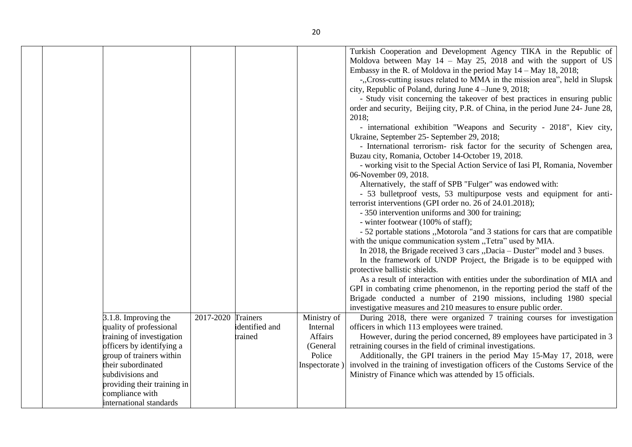|  |                                                 |                    |                |                         | Turkish Cooperation and Development Agency TIKA in the Republic of<br>Moldova between May $14 - May 25$ , 2018 and with the support of US<br>Embassy in the R. of Moldova in the period May $14 -$ May $18$ , 2018;<br>-, Cross-cutting issues related to MMA in the mission area", held in Slupsk<br>city, Republic of Poland, during June 4 – June 9, 2018;<br>- Study visit concerning the takeover of best practices in ensuring public<br>order and security, Beijing city, P.R. of China, in the period June 24- June 28,<br>2018;<br>- international exhibition "Weapons and Security - 2018", Kiev city,<br>Ukraine, September 25- September 29, 2018;<br>- International terrorism- risk factor for the security of Schengen area,<br>Buzau city, Romania, October 14-October 19, 2018.<br>- working visit to the Special Action Service of Iasi PI, Romania, November<br>06-November 09, 2018.<br>Alternatively, the staff of SPB "Fulger" was endowed with:<br>- 53 bulletproof vests, 53 multipurpose vests and equipment for anti-<br>terrorist interventions (GPI order no. 26 of 24.01.2018);<br>- 350 intervention uniforms and 300 for training;<br>- winter footwear (100% of staff);<br>- 52 portable stations "Motorola "and 3 stations for cars that are compatible<br>with the unique communication system "Tetra" used by MIA.<br>In 2018, the Brigade received 3 cars "Dacia – Duster" model and 3 buses.<br>In the framework of UNDP Project, the Brigade is to be equipped with<br>protective ballistic shields.<br>As a result of interaction with entities under the subordination of MIA and<br>GPI in combating crime phenomenon, in the reporting period the staff of the<br>Brigade conducted a number of 2190 missions, including 1980 special |
|--|-------------------------------------------------|--------------------|----------------|-------------------------|---------------------------------------------------------------------------------------------------------------------------------------------------------------------------------------------------------------------------------------------------------------------------------------------------------------------------------------------------------------------------------------------------------------------------------------------------------------------------------------------------------------------------------------------------------------------------------------------------------------------------------------------------------------------------------------------------------------------------------------------------------------------------------------------------------------------------------------------------------------------------------------------------------------------------------------------------------------------------------------------------------------------------------------------------------------------------------------------------------------------------------------------------------------------------------------------------------------------------------------------------------------------------------------------------------------------------------------------------------------------------------------------------------------------------------------------------------------------------------------------------------------------------------------------------------------------------------------------------------------------------------------------------------------------------------------------------------------------------------------------------------------------------------|
|  | 3.1.8. Improving the<br>quality of professional | 2017-2020 Trainers | identified and | Ministry of<br>Internal | investigative measures and 210 measures to ensure public order.<br>During 2018, there were organized 7 training courses for investigation<br>officers in which 113 employees were trained.                                                                                                                                                                                                                                                                                                                                                                                                                                                                                                                                                                                                                                                                                                                                                                                                                                                                                                                                                                                                                                                                                                                                                                                                                                                                                                                                                                                                                                                                                                                                                                                      |
|  | training of investigation                       |                    | trained        | Affairs                 | However, during the period concerned, 89 employees have participated in 3                                                                                                                                                                                                                                                                                                                                                                                                                                                                                                                                                                                                                                                                                                                                                                                                                                                                                                                                                                                                                                                                                                                                                                                                                                                                                                                                                                                                                                                                                                                                                                                                                                                                                                       |
|  | officers by identifying a                       |                    |                | (General                | retraining courses in the field of criminal investigations.                                                                                                                                                                                                                                                                                                                                                                                                                                                                                                                                                                                                                                                                                                                                                                                                                                                                                                                                                                                                                                                                                                                                                                                                                                                                                                                                                                                                                                                                                                                                                                                                                                                                                                                     |
|  | group of trainers within                        |                    |                | Police                  | Additionally, the GPI trainers in the period May 15-May 17, 2018, were                                                                                                                                                                                                                                                                                                                                                                                                                                                                                                                                                                                                                                                                                                                                                                                                                                                                                                                                                                                                                                                                                                                                                                                                                                                                                                                                                                                                                                                                                                                                                                                                                                                                                                          |
|  | their subordinated                              |                    |                | Inspectorate)           | involved in the training of investigation officers of the Customs Service of the                                                                                                                                                                                                                                                                                                                                                                                                                                                                                                                                                                                                                                                                                                                                                                                                                                                                                                                                                                                                                                                                                                                                                                                                                                                                                                                                                                                                                                                                                                                                                                                                                                                                                                |
|  | subdivisions and                                |                    |                |                         | Ministry of Finance which was attended by 15 officials.                                                                                                                                                                                                                                                                                                                                                                                                                                                                                                                                                                                                                                                                                                                                                                                                                                                                                                                                                                                                                                                                                                                                                                                                                                                                                                                                                                                                                                                                                                                                                                                                                                                                                                                         |
|  | providing their training in                     |                    |                |                         |                                                                                                                                                                                                                                                                                                                                                                                                                                                                                                                                                                                                                                                                                                                                                                                                                                                                                                                                                                                                                                                                                                                                                                                                                                                                                                                                                                                                                                                                                                                                                                                                                                                                                                                                                                                 |
|  | compliance with                                 |                    |                |                         |                                                                                                                                                                                                                                                                                                                                                                                                                                                                                                                                                                                                                                                                                                                                                                                                                                                                                                                                                                                                                                                                                                                                                                                                                                                                                                                                                                                                                                                                                                                                                                                                                                                                                                                                                                                 |
|  | international standards                         |                    |                |                         |                                                                                                                                                                                                                                                                                                                                                                                                                                                                                                                                                                                                                                                                                                                                                                                                                                                                                                                                                                                                                                                                                                                                                                                                                                                                                                                                                                                                                                                                                                                                                                                                                                                                                                                                                                                 |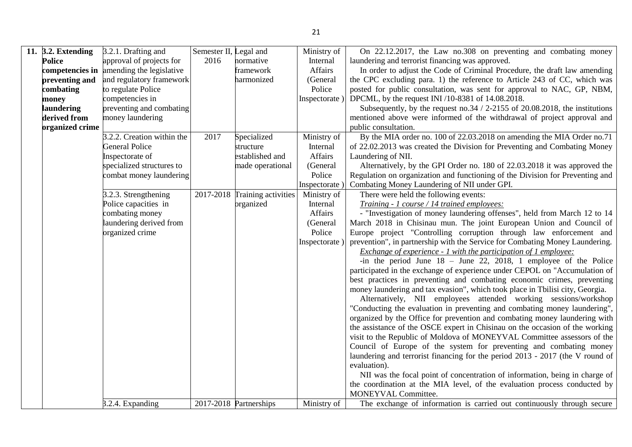| 11. 3.2. Extending | 3.2.1. Drafting and        | Semester II, Legal and |                               | Ministry of  | On 22.12.2017, the Law no.308 on preventing and combating money               |
|--------------------|----------------------------|------------------------|-------------------------------|--------------|-------------------------------------------------------------------------------|
| <b>Police</b>      | approval of projects for   | 2016                   | normative                     | Internal     | laundering and terrorist financing was approved.                              |
| competencies in    | amending the legislative   |                        | framework                     | Affairs      | In order to adjust the Code of Criminal Procedure, the draft law amending     |
| preventing and     | and regulatory framework   |                        | harmonized                    | (General     | the CPC excluding para. 1) the reference to Article 243 of CC, which was      |
| combating          | to regulate Police         |                        |                               | Police       | posted for public consultation, was sent for approval to NAC, GP, NBM,        |
| money              | competencies in            |                        |                               | Inspectorate | DPCML, by the request INI /10-8381 of 14.08.2018.                             |
| laundering         | preventing and combating   |                        |                               |              | Subsequently, by the request no.34 $/$ 2-2155 of 20.08.2018, the institutions |
| derived from       | money laundering           |                        |                               |              | mentioned above were informed of the withdrawal of project approval and       |
| organized crime    |                            |                        |                               |              | public consultation.                                                          |
|                    | 3.2.2. Creation within the | 2017                   | Specialized                   | Ministry of  | By the MIA order no. 100 of 22.03.2018 on amending the MIA Order no.71        |
|                    | <b>General Police</b>      |                        | structure                     | Internal     | of 22.02.2013 was created the Division for Preventing and Combating Money     |
|                    | Inspectorate of            |                        | established and               | Affairs      | Laundering of NII.                                                            |
|                    | specialized structures to  |                        | made operational              | (General     | Alternatively, by the GPI Order no. 180 of 22.03.2018 it was approved the     |
|                    | combat money laundering    |                        |                               | Police       | Regulation on organization and functioning of the Division for Preventing and |
|                    |                            |                        |                               | Inspectorate | Combating Money Laundering of NII under GPI.                                  |
|                    | 3.2.3. Strengthening       |                        | 2017-2018 Training activities | Ministry of  | There were held the following events:                                         |
|                    | Police capacities in       |                        | organized                     | Internal     | Training - 1 course / 14 trained employees:                                   |
|                    | combating money            |                        |                               | Affairs      | - "Investigation of money laundering offenses", held from March 12 to 14      |
|                    | laundering derived from    |                        |                               | (General     | March 2018 in Chisinau mun. The joint European Union and Council of           |
|                    | organized crime            |                        |                               | Police       | Europe project "Controlling corruption through law enforcement and            |
|                    |                            |                        |                               | Inspectorate | prevention", in partnership with the Service for Combating Money Laundering.  |
|                    |                            |                        |                               |              | Exchange of experience - 1 with the participation of 1 employee:              |
|                    |                            |                        |                               |              | -in the period June $18 -$ June 22, 2018, 1 employee of the Police            |
|                    |                            |                        |                               |              | participated in the exchange of experience under CEPOL on "Accumulation of    |
|                    |                            |                        |                               |              | best practices in preventing and combating economic crimes, preventing        |
|                    |                            |                        |                               |              | money laundering and tax evasion", which took place in Tbilisi city, Georgia. |
|                    |                            |                        |                               |              | Alternatively, NII employees attended working sessions/workshop               |
|                    |                            |                        |                               |              | "Conducting the evaluation in preventing and combating money laundering",     |
|                    |                            |                        |                               |              | organized by the Office for prevention and combating money laundering with    |
|                    |                            |                        |                               |              | the assistance of the OSCE expert in Chisinau on the occasion of the working  |
|                    |                            |                        |                               |              | visit to the Republic of Moldova of MONEYVAL Committee assessors of the       |
|                    |                            |                        |                               |              | Council of Europe of the system for preventing and combating money            |
|                    |                            |                        |                               |              | laundering and terrorist financing for the period 2013 - 2017 (the V round of |
|                    |                            |                        |                               |              | evaluation).                                                                  |
|                    |                            |                        |                               |              | NII was the focal point of concentration of information, being in charge of   |
|                    |                            |                        |                               |              | the coordination at the MIA level, of the evaluation process conducted by     |
|                    |                            |                        |                               |              | MONEYVAL Committee.                                                           |
|                    | .2.4. Expanding            |                        | 2017-2018 Partnerships        | Ministry of  | The exchange of information is carried out continuously through secure        |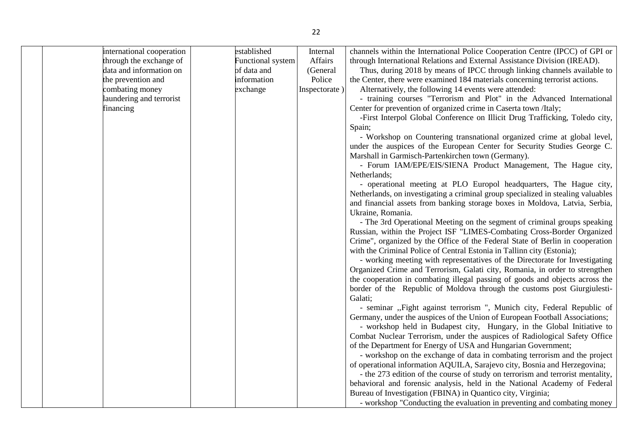|  | international cooperation | established              | Internal      | channels within the International Police Cooperation Centre (IPCC) of GPI or     |
|--|---------------------------|--------------------------|---------------|----------------------------------------------------------------------------------|
|  | through the exchange of   | <b>Functional system</b> | Affairs       | through International Relations and External Assistance Division (IREAD).        |
|  | data and information on   | of data and              | (General      | Thus, during 2018 by means of IPCC through linking channels available to         |
|  | the prevention and        | information              | Police        | the Center, there were examined 184 materials concerning terrorist actions.      |
|  | combating money           | exchange                 | Inspectorate) | Alternatively, the following 14 events were attended:                            |
|  | laundering and terrorist  |                          |               | - training courses "Terrorism and Plot" in the Advanced International            |
|  | financing                 |                          |               | Center for prevention of organized crime in Caserta town /Italy;                 |
|  |                           |                          |               | -First Interpol Global Conference on Illicit Drug Trafficking, Toledo city,      |
|  |                           |                          |               | Spain;                                                                           |
|  |                           |                          |               | - Workshop on Countering transnational organized crime at global level,          |
|  |                           |                          |               | under the auspices of the European Center for Security Studies George C.         |
|  |                           |                          |               | Marshall in Garmisch-Partenkirchen town (Germany).                               |
|  |                           |                          |               | - Forum IAM/EPE/EIS/SIENA Product Management, The Hague city,                    |
|  |                           |                          |               | Netherlands;                                                                     |
|  |                           |                          |               | - operational meeting at PLO Europol headquarters, The Hague city,               |
|  |                           |                          |               | Netherlands, on investigating a criminal group specialized in stealing valuables |
|  |                           |                          |               | and financial assets from banking storage boxes in Moldova, Latvia, Serbia,      |
|  |                           |                          |               | Ukraine, Romania.                                                                |
|  |                           |                          |               | - The 3rd Operational Meeting on the segment of criminal groups speaking         |
|  |                           |                          |               | Russian, within the Project ISF "LIMES-Combating Cross-Border Organized          |
|  |                           |                          |               | Crime", organized by the Office of the Federal State of Berlin in cooperation    |
|  |                           |                          |               | with the Criminal Police of Central Estonia in Tallinn city (Estonia);           |
|  |                           |                          |               | - working meeting with representatives of the Directorate for Investigating      |
|  |                           |                          |               | Organized Crime and Terrorism, Galati city, Romania, in order to strengthen      |
|  |                           |                          |               |                                                                                  |
|  |                           |                          |               | the cooperation in combating illegal passing of goods and objects across the     |
|  |                           |                          |               | border of the Republic of Moldova through the customs post Giurgiulesti-         |
|  |                           |                          |               | Galati;                                                                          |
|  |                           |                          |               | - seminar "Fight against terrorism ", Munich city, Federal Republic of           |
|  |                           |                          |               | Germany, under the auspices of the Union of European Football Associations;      |
|  |                           |                          |               | - workshop held in Budapest city, Hungary, in the Global Initiative to           |
|  |                           |                          |               | Combat Nuclear Terrorism, under the auspices of Radiological Safety Office       |
|  |                           |                          |               | of the Department for Energy of USA and Hungarian Government;                    |
|  |                           |                          |               | - workshop on the exchange of data in combating terrorism and the project        |
|  |                           |                          |               | of operational information AQUILA, Sarajevo city, Bosnia and Herzegovina;        |
|  |                           |                          |               | - the 273 edition of the course of study on terrorism and terrorist mentality,   |
|  |                           |                          |               | behavioral and forensic analysis, held in the National Academy of Federal        |
|  |                           |                          |               | Bureau of Investigation (FBINA) in Quantico city, Virginia;                      |
|  |                           |                          |               | - workshop "Conducting the evaluation in preventing and combating money          |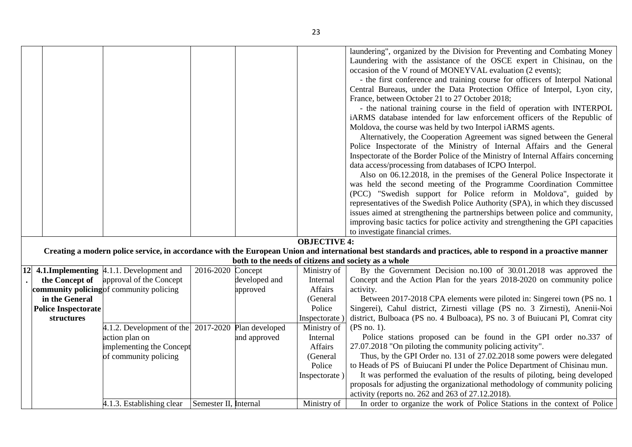|                            |                |                                                            |                       |               |                     | laundering", organized by the Division for Preventing and Combating Money                                                                                     |
|----------------------------|----------------|------------------------------------------------------------|-----------------------|---------------|---------------------|---------------------------------------------------------------------------------------------------------------------------------------------------------------|
|                            |                |                                                            |                       |               |                     | Laundering with the assistance of the OSCE expert in Chisinau, on the                                                                                         |
|                            |                |                                                            |                       |               |                     | occasion of the V round of MONEYVAL evaluation (2 events);                                                                                                    |
|                            |                |                                                            |                       |               |                     | - the first conference and training course for officers of Interpol National                                                                                  |
|                            |                |                                                            |                       |               |                     | Central Bureaus, under the Data Protection Office of Interpol, Lyon city,                                                                                     |
|                            |                |                                                            |                       |               |                     | France, between October 21 to 27 October 2018;                                                                                                                |
|                            |                |                                                            |                       |               |                     | - the national training course in the field of operation with INTERPOL                                                                                        |
|                            |                |                                                            |                       |               |                     | iARMS database intended for law enforcement officers of the Republic of                                                                                       |
|                            |                |                                                            |                       |               |                     | Moldova, the course was held by two Interpol iARMS agents.                                                                                                    |
|                            |                |                                                            |                       |               |                     | Alternatively, the Cooperation Agreement was signed between the General                                                                                       |
|                            |                |                                                            |                       |               |                     | Police Inspectorate of the Ministry of Internal Affairs and the General                                                                                       |
|                            |                |                                                            |                       |               |                     | Inspectorate of the Border Police of the Ministry of Internal Affairs concerning<br>data access/processing from databases of ICPO Interpol.                   |
|                            |                |                                                            |                       |               |                     | Also on 06.12.2018, in the premises of the General Police Inspectorate it                                                                                     |
|                            |                |                                                            |                       |               |                     | was held the second meeting of the Programme Coordination Committee                                                                                           |
|                            |                |                                                            |                       |               |                     | (PCC) "Swedish support for Police reform in Moldova", guided by                                                                                               |
|                            |                |                                                            |                       |               |                     | representatives of the Swedish Police Authority (SPA), in which they discussed                                                                                |
|                            |                |                                                            |                       |               |                     | issues aimed at strengthening the partnerships between police and community,                                                                                  |
|                            |                |                                                            |                       |               |                     | improving basic tactics for police activity and strengthening the GPI capacities                                                                              |
|                            |                |                                                            |                       |               |                     | to investigate financial crimes.                                                                                                                              |
|                            |                |                                                            |                       |               | <b>OBJECTIVE 4:</b> |                                                                                                                                                               |
|                            |                |                                                            |                       |               |                     | Creating a modern police service, in accordance with the European Union and international best standards and practices, able to respond in a proactive manner |
|                            |                |                                                            |                       |               |                     | both to the needs of citizens and society as a whole                                                                                                          |
| <b>12</b>                  |                | 4.1.1 Implementing 4.1.1. Development and                  | 2016-2020 Concept     |               | Ministry of         | By the Government Decision no.100 of 30.01.2018 was approved the                                                                                              |
|                            | the Concept of | approval of the Concept                                    |                       | developed and | Internal            | Concept and the Action Plan for the years 2018-2020 on community police                                                                                       |
|                            |                | community policing of community policing                   |                       | approved      | Affairs             | activity.                                                                                                                                                     |
| in the General             |                |                                                            |                       |               | (General            | Between 2017-2018 CPA elements were piloted in: Singerei town (PS no. 1                                                                                       |
| <b>Police Inspectorate</b> |                |                                                            |                       |               | Police              | Singerei), Cahul district, Zirnesti village (PS no. 3 Zirnesti), Anenii-Noi                                                                                   |
| structures                 |                |                                                            |                       |               | Inspectorate)       | district, Bulboaca (PS no. 4 Bulboaca), PS no. 3 of Buiucani PI, Comrat city                                                                                  |
|                            |                | $ 4.1.2$ . Development of the $ 2017-2020 $ Plan developed |                       |               | Ministry of         | (PS no. 1).                                                                                                                                                   |
|                            |                | action plan on                                             |                       | and approved  | Internal            | Police stations proposed can be found in the GPI order no.337 of                                                                                              |
|                            |                | implementing the Concept                                   |                       |               | <b>Affairs</b>      | 27.07.2018 "On piloting the community policing activity".                                                                                                     |
|                            |                | of community policing                                      |                       |               | (General            | Thus, by the GPI Order no. 131 of 27.02.2018 some powers were delegated                                                                                       |
|                            |                |                                                            |                       |               | Police              | to Heads of PS of Buiucani PI under the Police Department of Chisinau mun.                                                                                    |
|                            |                |                                                            |                       |               | Inspectorate)       | It was performed the evaluation of the results of piloting, being developed                                                                                   |
|                            |                |                                                            |                       |               |                     | proposals for adjusting the organizational methodology of community policing                                                                                  |
|                            |                |                                                            |                       |               |                     | activity (reports no. 262 and 263 of 27.12.2018).                                                                                                             |
|                            |                | 4.1.3. Establishing clear                                  | Semester II, Internal |               | Ministry of         | In order to organize the work of Police Stations in the context of Police                                                                                     |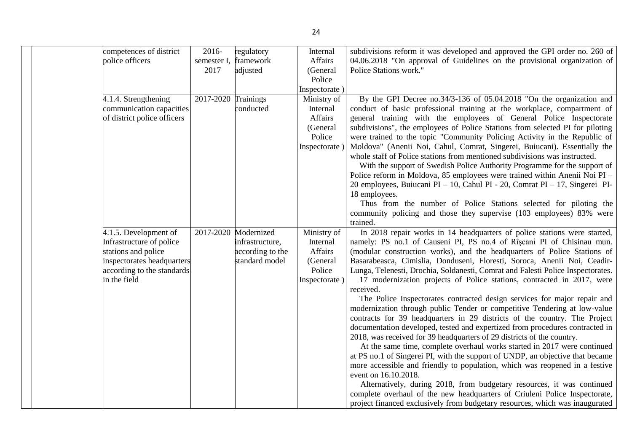| competences of district                         | 2016-       | regulatory                          | Internal            | subdivisions reform it was developed and approved the GPI order no. 260 of                                                                        |
|-------------------------------------------------|-------------|-------------------------------------|---------------------|---------------------------------------------------------------------------------------------------------------------------------------------------|
| police officers                                 | semester I, | framework                           | Affairs             | 04.06.2018 "On approval of Guidelines on the provisional organization of                                                                          |
|                                                 | 2017        | adjusted                            | (General            | Police Stations work."                                                                                                                            |
|                                                 |             |                                     | Police              |                                                                                                                                                   |
|                                                 |             |                                     | Inspectorate)       |                                                                                                                                                   |
| 4.1.4. Strengthening                            | 2017-2020   | Trainings                           | Ministry of         | By the GPI Decree no.34/3-136 of 05.04.2018 "On the organization and                                                                              |
| communication capacities                        |             | conducted                           | Internal            | conduct of basic professional training at the workplace, compartment of                                                                           |
| of district police officers                     |             |                                     | Affairs             | general training with the employees of General Police Inspectorate                                                                                |
|                                                 |             |                                     | (General            | subdivisions", the employees of Police Stations from selected PI for piloting                                                                     |
|                                                 |             |                                     | Police              | were trained to the topic "Community Policing Activity in the Republic of                                                                         |
|                                                 |             |                                     | Inspectorate)       | Moldova" (Anenii Noi, Cahul, Comrat, Singerei, Buiucani). Essentially the                                                                         |
|                                                 |             |                                     |                     | whole staff of Police stations from mentioned subdivisions was instructed.                                                                        |
|                                                 |             |                                     |                     | With the support of Swedish Police Authority Programme for the support of                                                                         |
|                                                 |             |                                     |                     | Police reform in Moldova, 85 employees were trained within Anenii Noi PI -                                                                        |
|                                                 |             |                                     |                     | 20 employees, Buiucani PI - 10, Cahul PI - 20, Comrat PI - 17, Singerei PI-                                                                       |
|                                                 |             |                                     |                     | 18 employees.                                                                                                                                     |
|                                                 |             |                                     |                     | Thus from the number of Police Stations selected for piloting the                                                                                 |
|                                                 |             |                                     |                     | community policing and those they supervise (103 employees) 83% were                                                                              |
|                                                 |             |                                     |                     | trained.                                                                                                                                          |
| 4.1.5. Development of                           | 2017-2020   | Modernized                          | Ministry of         | In 2018 repair works in 14 headquarters of police stations were started,                                                                          |
| Infrastructure of police<br>stations and police |             | infrastructure,<br>according to the | Internal<br>Affairs | namely: PS no.1 of Causeni PI, PS no.4 of Rîșcani PI of Chisinau mun.<br>(modular construction works), and the headquarters of Police Stations of |
| inspectorates headquarters                      |             | standard model                      | (General            | Basarabeasca, Cimislia, Donduseni, Floresti, Soroca, Anenii Noi, Ceadir-                                                                          |
| according to the standards                      |             |                                     | Police              | Lunga, Telenesti, Drochia, Soldanesti, Comrat and Falesti Police Inspectorates.                                                                   |
| in the field                                    |             |                                     | Inspectorate)       | 17 modernization projects of Police stations, contracted in 2017, were                                                                            |
|                                                 |             |                                     |                     | received.                                                                                                                                         |
|                                                 |             |                                     |                     | The Police Inspectorates contracted design services for major repair and                                                                          |
|                                                 |             |                                     |                     | modernization through public Tender or competitive Tendering at low-value                                                                         |
|                                                 |             |                                     |                     | contracts for 39 headquarters in 29 districts of the country. The Project                                                                         |
|                                                 |             |                                     |                     | documentation developed, tested and expertized from procedures contracted in                                                                      |
|                                                 |             |                                     |                     | 2018, was received for 39 headquarters of 29 districts of the country.                                                                            |
|                                                 |             |                                     |                     | At the same time, complete overhaul works started in 2017 were continued                                                                          |
|                                                 |             |                                     |                     | at PS no.1 of Singerei PI, with the support of UNDP, an objective that became                                                                     |
|                                                 |             |                                     |                     | more accessible and friendly to population, which was reopened in a festive                                                                       |
|                                                 |             |                                     |                     | event on 16.10.2018.                                                                                                                              |
|                                                 |             |                                     |                     | Alternatively, during 2018, from budgetary resources, it was continued                                                                            |
|                                                 |             |                                     |                     | complete overhaul of the new headquarters of Criuleni Police Inspectorate,                                                                        |
|                                                 |             |                                     |                     | project financed exclusively from budgetary resources, which was inaugurated                                                                      |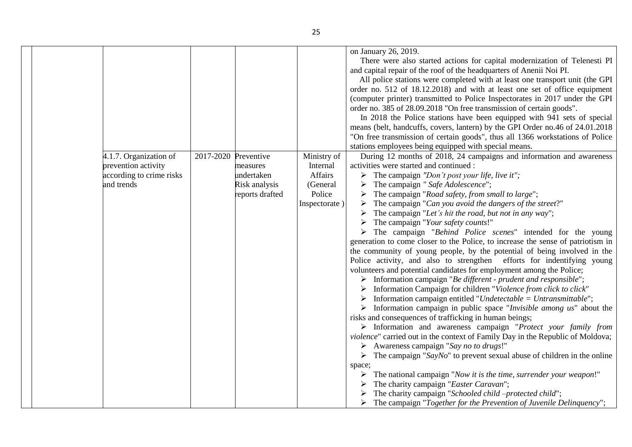|  |                          |           |                 |               | on January 26, 2019.                                                                    |
|--|--------------------------|-----------|-----------------|---------------|-----------------------------------------------------------------------------------------|
|  |                          |           |                 |               | There were also started actions for capital modernization of Telenesti PI               |
|  |                          |           |                 |               | and capital repair of the roof of the headquarters of Anenii Noi PI.                    |
|  |                          |           |                 |               | All police stations were completed with at least one transport unit (the GPI            |
|  |                          |           |                 |               | order no. 512 of 18.12.2018) and with at least one set of office equipment              |
|  |                          |           |                 |               | (computer printer) transmitted to Police Inspectorates in 2017 under the GPI            |
|  |                          |           |                 |               | order no. 385 of 28.09.2018 "On free transmission of certain goods".                    |
|  |                          |           |                 |               | In 2018 the Police stations have been equipped with 941 sets of special                 |
|  |                          |           |                 |               | means (belt, handcuffs, covers, lantern) by the GPI Order no.46 of 24.01.2018           |
|  |                          |           |                 |               | "On free transmission of certain goods", thus all 1366 workstations of Police           |
|  |                          |           |                 |               | stations employees being equipped with special means.                                   |
|  | 4.1.7. Organization of   | 2017-2020 | Preventive      | Ministry of   | During 12 months of 2018, 24 campaigns and information and awareness                    |
|  | prevention activity      |           | measures        | Internal      | activities were started and continued :                                                 |
|  | according to crime risks |           | undertaken      | Affairs       | $\triangleright$ The campaign "Don't post your life, live it";                          |
|  | and trends               |           | Risk analysis   | (General      | The campaign " Safe Adolescence";                                                       |
|  |                          |           | reports drafted | Police        | The campaign "Road safety, from small to large";                                        |
|  |                          |           |                 | Inspectorate) | The campaign "Can you avoid the dangers of the street?"                                 |
|  |                          |           |                 |               | The campaign "Let's hit the road, but not in any way";                                  |
|  |                          |           |                 |               | The campaign "Your safety counts!"                                                      |
|  |                          |           |                 |               | The campaign "Behind Police scenes" intended for the young                              |
|  |                          |           |                 |               | generation to come closer to the Police, to increase the sense of patriotism in         |
|  |                          |           |                 |               | the community of young people, by the potential of being involved in the                |
|  |                          |           |                 |               | Police activity, and also to strengthen efforts for indentifying young                  |
|  |                          |           |                 |               | volunteers and potential candidates for employment among the Police;                    |
|  |                          |           |                 |               | > Information campaign "Be different - prudent and responsible";                        |
|  |                          |           |                 |               | Information Campaign for children "Violence from click to click"                        |
|  |                          |           |                 |               | Information campaign entitled "Undetectable = Untransmittable";                         |
|  |                          |           |                 |               | $\triangleright$ Information campaign in public space "Invisible among us" about the    |
|  |                          |           |                 |               | risks and consequences of trafficking in human beings;                                  |
|  |                          |           |                 |               | > Information and awareness campaign "Protect your family from                          |
|  |                          |           |                 |               | violence" carried out in the context of Family Day in the Republic of Moldova;          |
|  |                          |           |                 |               | $\triangleright$ Awareness campaign "Say no to drugs!"                                  |
|  |                          |           |                 |               | $\triangleright$ The campaign "SayNo" to prevent sexual abuse of children in the online |
|  |                          |           |                 |               | space;                                                                                  |
|  |                          |           |                 |               | The national campaign "Now it is the time, surrender your weapon!"                      |
|  |                          |           |                 |               | The charity campaign "Easter Caravan";                                                  |
|  |                          |           |                 |               | The charity campaign "Schooled child-protected child";                                  |
|  |                          |           |                 |               | The campaign "Together for the Prevention of Juvenile Delinquency";                     |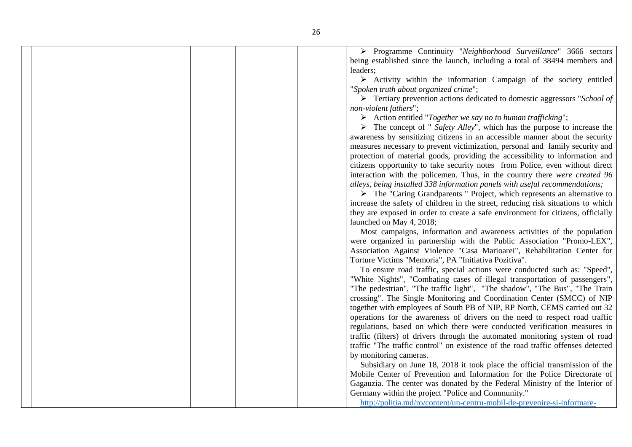Programme Continuity "*Neighborhood Surveillance*" 3666 sectors being established since the launch, including a total of 38494 members and leaders;

 $\triangleright$  Activity within the information Campaign of the society entitled "*Spoken truth about organized crime*";

 Tertiary prevention actions dedicated to domestic aggressors "*School of non-violent fathers*";

Action entitled "*Together we say no to human trafficking*";

 The concept of " *Safety Alley*", which has the purpose to increase the awareness by sensitizing citizens in an accessible manner about the security measures necessary to prevent victimization, personal and family security and protection of material goods, providing the accessibility to information and citizens opportunity to take security notes from Police, even without direct interaction with the policemen. Thus, in the country there *were created 96 alleys, being installed 338 information panels with useful recommendations;*

 $\triangleright$  The "Caring Grandparents" Project, which represents an alternative to increase the safety of children in the street, reducing risk situations to which they are exposed in order to create a safe environment for citizens, officially launched on May 4, 2018;

Most campaigns, information and awareness activities of the population were organized in partnership with the Public Association "Promo-LEX", Association Against Violence "Casa Marioarei", Rehabilitation Center for Torture Victims "Memoria", PA "Initiativa Pozitiva".

To ensure road traffic, special actions were conducted such as: "Speed", "White Nights", "Combating cases of illegal transportation of passengers", "The pedestrian", "The traffic light", "The shadow", "The Bus", "The Train crossing". The Single Monitoring and Coordination Center (SMCC) of NIP together with employees of South PB of NIP, RP North, CEMS carried out 32 operations for the awareness of drivers on the need to respect road traffic regulations, based on which there were conducted verification measures in traffic (filters) of drivers through the automated monitoring system of road traffic "The traffic control" on existence of the road traffic offenses detected by monitoring cameras.

Subsidiary on June 18, 2018 it took place the official transmission of the Mobile Center of Prevention and Information for the Police Directorate of Gagauzia. The center was donated by the Federal Ministry of the Interior of Germany within the project "Police and Community."

[http://politia.md/ro/content/un-centru-mobil-de-prevenire-si-informare-](http://politia.md/ro/content/un-centru-mobil-de-prevenire-si-informare-donat-directiei-de-politie-uta-gagauzia)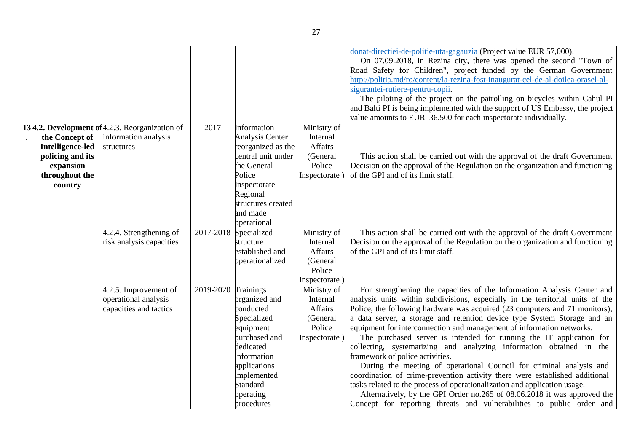|                  |                                                    |           |                            |               | donat-directiei-de-politie-uta-gagauzia (Project value EUR 57,000).<br>On 07.09.2018, in Rezina city, there was opened the second "Town of<br>Road Safety for Children", project funded by the German Government<br>http://politia.md/ro/content/la-rezina-fost-inaugurat-cel-de-al-doilea-orasel-al-<br>sigurantei-rutiere-pentru-copii.<br>The piloting of the project on the patrolling on bicycles within Cahul PI |
|------------------|----------------------------------------------------|-----------|----------------------------|---------------|------------------------------------------------------------------------------------------------------------------------------------------------------------------------------------------------------------------------------------------------------------------------------------------------------------------------------------------------------------------------------------------------------------------------|
|                  |                                                    |           |                            |               | and Balti PI is being implemented with the support of US Embassy, the project<br>value amounts to EUR 36.500 for each inspectorate individually.                                                                                                                                                                                                                                                                       |
|                  | 13 4.2. Development of $4.2.3$ . Reorganization of | 2017      | Information                | Ministry of   |                                                                                                                                                                                                                                                                                                                                                                                                                        |
| the Concept of   | information analysis                               |           | <b>Analysis Center</b>     | Internal      |                                                                                                                                                                                                                                                                                                                                                                                                                        |
| Intelligence-led | structures                                         |           | reorganized as the         | Affairs       |                                                                                                                                                                                                                                                                                                                                                                                                                        |
| policing and its |                                                    |           | central unit under         | (General      | This action shall be carried out with the approval of the draft Government                                                                                                                                                                                                                                                                                                                                             |
| expansion        |                                                    |           | the General                | Police        | Decision on the approval of the Regulation on the organization and functioning                                                                                                                                                                                                                                                                                                                                         |
| throughout the   |                                                    |           | Police                     | Inspectorate  | of the GPI and of its limit staff.                                                                                                                                                                                                                                                                                                                                                                                     |
| country          |                                                    |           | Inspectorate               |               |                                                                                                                                                                                                                                                                                                                                                                                                                        |
|                  |                                                    |           | Regional                   |               |                                                                                                                                                                                                                                                                                                                                                                                                                        |
|                  |                                                    |           | structures created         |               |                                                                                                                                                                                                                                                                                                                                                                                                                        |
|                  |                                                    |           | and made                   |               |                                                                                                                                                                                                                                                                                                                                                                                                                        |
|                  |                                                    |           | operational                |               |                                                                                                                                                                                                                                                                                                                                                                                                                        |
|                  | 4.2.4. Strengthening of                            | 2017-2018 | Specialized                | Ministry of   | This action shall be carried out with the approval of the draft Government                                                                                                                                                                                                                                                                                                                                             |
|                  | risk analysis capacities                           |           | structure                  | Internal      | Decision on the approval of the Regulation on the organization and functioning                                                                                                                                                                                                                                                                                                                                         |
|                  |                                                    |           | established and            | Affairs       | of the GPI and of its limit staff.                                                                                                                                                                                                                                                                                                                                                                                     |
|                  |                                                    |           | operationalized            | (General      |                                                                                                                                                                                                                                                                                                                                                                                                                        |
|                  |                                                    |           |                            | Police        |                                                                                                                                                                                                                                                                                                                                                                                                                        |
|                  |                                                    |           |                            | Inspectorate) |                                                                                                                                                                                                                                                                                                                                                                                                                        |
|                  | 4.2.5. Improvement of                              | 2019-2020 | Trainings                  | Ministry of   | For strengthening the capacities of the Information Analysis Center and                                                                                                                                                                                                                                                                                                                                                |
|                  | operational analysis                               |           | organized and              | Internal      | analysis units within subdivisions, especially in the territorial units of the                                                                                                                                                                                                                                                                                                                                         |
|                  | capacities and tactics                             |           | conducted                  | Affairs       | Police, the following hardware was acquired (23 computers and 71 monitors),                                                                                                                                                                                                                                                                                                                                            |
|                  |                                                    |           | Specialized                | (General      | a data server, a storage and retention device type System Storage and an                                                                                                                                                                                                                                                                                                                                               |
|                  |                                                    |           | equipment                  | Police        | equipment for interconnection and management of information networks.                                                                                                                                                                                                                                                                                                                                                  |
|                  |                                                    |           | purchased and<br>dedicated | Inspectorate) | The purchased server is intended for running the IT application for<br>collecting, systematizing and analyzing information obtained in the                                                                                                                                                                                                                                                                             |
|                  |                                                    |           | information                |               | framework of police activities.                                                                                                                                                                                                                                                                                                                                                                                        |
|                  |                                                    |           | applications               |               | During the meeting of operational Council for criminal analysis and                                                                                                                                                                                                                                                                                                                                                    |
|                  |                                                    |           | implemented                |               | coordination of crime-prevention activity there were established additional                                                                                                                                                                                                                                                                                                                                            |
|                  |                                                    |           | Standard                   |               | tasks related to the process of operationalization and application usage.                                                                                                                                                                                                                                                                                                                                              |
|                  |                                                    |           | operating                  |               | Alternatively, by the GPI Order no.265 of 08.06.2018 it was approved the                                                                                                                                                                                                                                                                                                                                               |
|                  |                                                    |           | procedures                 |               | Concept for reporting threats and vulnerabilities to public order and                                                                                                                                                                                                                                                                                                                                                  |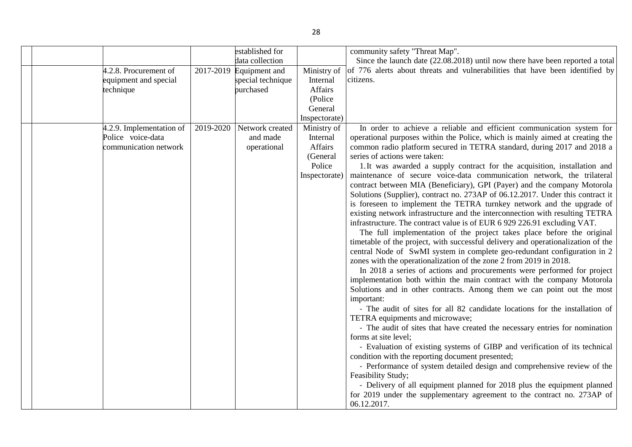|                          |           | established for         |                | community safety "Threat Map".                                                                |
|--------------------------|-----------|-------------------------|----------------|-----------------------------------------------------------------------------------------------|
|                          |           | data collection         |                | Since the launch date (22.08.2018) until now there have been reported a total                 |
| 4.2.8. Procurement of    |           | 2017-2019 Equipment and | Ministry of    | of 776 alerts about threats and vulnerabilities that have been identified by                  |
| equipment and special    |           | special technique       | Internal       | citizens.                                                                                     |
| technique                |           | purchased               | <b>Affairs</b> |                                                                                               |
|                          |           |                         | (Police)       |                                                                                               |
|                          |           |                         | General        |                                                                                               |
|                          |           |                         | Inspectorate)  |                                                                                               |
| 4.2.9. Implementation of | 2019-2020 | Network created         | Ministry of    | In order to achieve a reliable and efficient communication system for                         |
| Police voice-data        |           | and made                | Internal       | operational purposes within the Police, which is mainly aimed at creating the                 |
| communication network    |           | operational             | Affairs        | common radio platform secured in TETRA standard, during 2017 and 2018 a                       |
|                          |           |                         | (General       | series of actions were taken:                                                                 |
|                          |           |                         | Police         | 1. It was awarded a supply contract for the acquisition, installation and                     |
|                          |           |                         | Inspectorate)  | maintenance of secure voice-data communication network, the trilateral                        |
|                          |           |                         |                | contract between MIA (Beneficiary), GPI (Payer) and the company Motorola                      |
|                          |           |                         |                | Solutions (Supplier), contract no. 273AP of 06.12.2017. Under this contract it                |
|                          |           |                         |                | is foreseen to implement the TETRA turnkey network and the upgrade of                         |
|                          |           |                         |                | existing network infrastructure and the interconnection with resulting TETRA                  |
|                          |           |                         |                | infrastructure. The contract value is of EUR 6 929 226.91 excluding VAT.                      |
|                          |           |                         |                | The full implementation of the project takes place before the original                        |
|                          |           |                         |                | timetable of the project, with successful delivery and operationalization of the              |
|                          |           |                         |                | central Node of SwMI system in complete geo-redundant configuration in 2                      |
|                          |           |                         |                | zones with the operationalization of the zone 2 from 2019 in 2018.                            |
|                          |           |                         |                | In 2018 a series of actions and procurements were performed for project                       |
|                          |           |                         |                | implementation both within the main contract with the company Motorola                        |
|                          |           |                         |                | Solutions and in other contracts. Among them we can point out the most                        |
|                          |           |                         |                | important:                                                                                    |
|                          |           |                         |                | - The audit of sites for all 82 candidate locations for the installation of                   |
|                          |           |                         |                | TETRA equipments and microwave;                                                               |
|                          |           |                         |                | - The audit of sites that have created the necessary entries for nomination                   |
|                          |           |                         |                | forms at site level;                                                                          |
|                          |           |                         |                | - Evaluation of existing systems of GIBP and verification of its technical                    |
|                          |           |                         |                | condition with the reporting document presented;                                              |
|                          |           |                         |                | - Performance of system detailed design and comprehensive review of the<br>Feasibility Study; |
|                          |           |                         |                |                                                                                               |
|                          |           |                         |                | - Delivery of all equipment planned for 2018 plus the equipment planned                       |
|                          |           |                         |                | for 2019 under the supplementary agreement to the contract no. 273AP of                       |
|                          |           |                         |                | 06.12.2017.                                                                                   |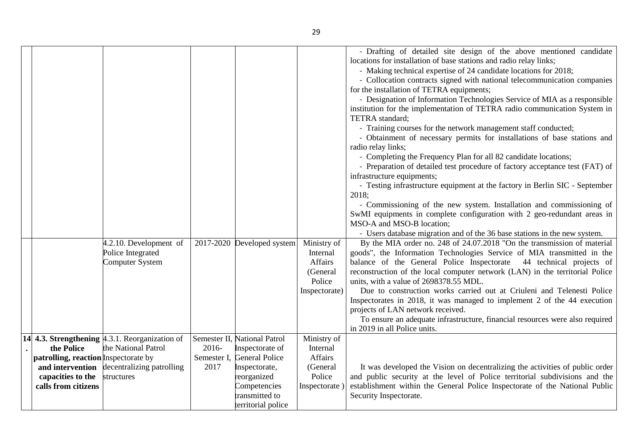|                                                                                    |                     |                              |                     | - Drafting of detailed site design of the above mentioned candidate<br>locations for installation of base stations and radio relay links;                   |
|------------------------------------------------------------------------------------|---------------------|------------------------------|---------------------|-------------------------------------------------------------------------------------------------------------------------------------------------------------|
|                                                                                    |                     |                              |                     | - Making technical expertise of 24 candidate locations for 2018;                                                                                            |
|                                                                                    |                     |                              |                     | - Collocation contracts signed with national telecommunication companies                                                                                    |
|                                                                                    |                     |                              |                     | for the installation of TETRA equipments;                                                                                                                   |
|                                                                                    |                     |                              |                     | - Designation of Information Technologies Service of MIA as a responsible                                                                                   |
|                                                                                    |                     |                              |                     | institution for the implementation of TETRA radio communication System in                                                                                   |
|                                                                                    |                     |                              |                     | TETRA standard;                                                                                                                                             |
|                                                                                    |                     |                              |                     | - Training courses for the network management staff conducted;                                                                                              |
|                                                                                    |                     |                              |                     | - Obtainment of necessary permits for installations of base stations and                                                                                    |
|                                                                                    |                     |                              |                     | radio relay links;                                                                                                                                          |
|                                                                                    |                     |                              |                     | - Completing the Frequency Plan for all 82 candidate locations;<br>- Preparation of detailed test procedure of factory acceptance test (FAT) of             |
|                                                                                    |                     |                              |                     | infrastructure equipments;                                                                                                                                  |
|                                                                                    |                     |                              |                     | - Testing infrastructure equipment at the factory in Berlin SIC - September                                                                                 |
|                                                                                    |                     |                              |                     | 2018;                                                                                                                                                       |
|                                                                                    |                     |                              |                     | - Commissioning of the new system. Installation and commissioning of                                                                                        |
|                                                                                    |                     |                              |                     | SwMI equipments in complete configuration with 2 geo-redundant areas in                                                                                     |
|                                                                                    |                     |                              |                     | MSO-A and MSO-B location;                                                                                                                                   |
|                                                                                    |                     |                              |                     | - Users database migration and of the 36 base stations in the new system.                                                                                   |
| 4.2.10. Development of                                                             |                     | 2017-2020 Developed system   | Ministry of         | By the MIA order no. 248 of 24.07.2018 "On the transmission of material                                                                                     |
| Police Integrated                                                                  |                     |                              | Internal            | goods", the Information Technologies Service of MIA transmitted in the                                                                                      |
| Computer System                                                                    |                     |                              | Affairs<br>(General | balance of the General Police Inspectorate 44 technical projects of<br>reconstruction of the local computer network (LAN) in the territorial Police         |
|                                                                                    |                     |                              | Police              | units, with a value of 2698378.55 MDL.                                                                                                                      |
|                                                                                    |                     |                              | Inspectorate)       | Due to construction works carried out at Criuleni and Telenesti Police                                                                                      |
|                                                                                    |                     |                              |                     | Inspectorates in 2018, it was managed to implement 2 of the 44 execution                                                                                    |
|                                                                                    |                     |                              |                     | projects of LAN network received.                                                                                                                           |
|                                                                                    |                     |                              |                     | To ensure an adequate infrastructure, financial resources were also required                                                                                |
|                                                                                    |                     |                              |                     | in 2019 in all Police units.                                                                                                                                |
| 14 4.3. Strengthening $ 4.3.1$ . Reorganization of                                 |                     | Semester II, National Patrol | Ministry of         |                                                                                                                                                             |
| the National Patrol<br>the Police                                                  | 2016-               | Inspectorate of              | Internal            |                                                                                                                                                             |
| patrolling, reaction Inspectorate by<br>and intervention decentralizing patrolling | Semester I,<br>2017 | <b>General Police</b>        | Affairs<br>(General |                                                                                                                                                             |
| capacities to the<br>structures                                                    |                     | Inspectorate,<br>reorganized | Police              | It was developed the Vision on decentralizing the activities of public order<br>and public security at the level of Police territorial subdivisions and the |
| calls from citizens                                                                |                     | Competencies                 | Inspectorate)       | establishment within the General Police Inspectorate of the National Public                                                                                 |
|                                                                                    |                     | transmitted to               |                     | Security Inspectorate.                                                                                                                                      |
|                                                                                    |                     | territorial police           |                     |                                                                                                                                                             |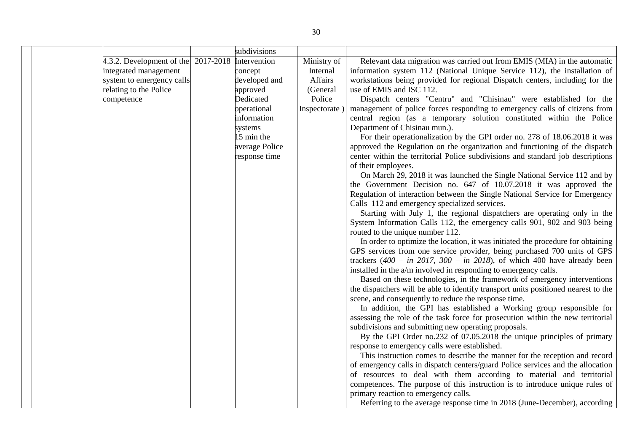|  |                                             | subdivisions   |              |                                                                                                                                                             |
|--|---------------------------------------------|----------------|--------------|-------------------------------------------------------------------------------------------------------------------------------------------------------------|
|  | 4.3.2. Development of the $\vert$ 2017-2018 | Intervention   | Ministry of  | Relevant data migration was carried out from EMIS (MIA) in the automatic                                                                                    |
|  | integrated management                       | concept        | Internal     | information system 112 (National Unique Service 112), the installation of                                                                                   |
|  | system to emergency calls                   | developed and  | Affairs      | workstations being provided for regional Dispatch centers, including for the                                                                                |
|  | relating to the Police                      | approved       | (General     | use of EMIS and ISC 112.                                                                                                                                    |
|  | competence                                  | Dedicated      | Police       | Dispatch centers "Centru" and "Chisinau" were established for the                                                                                           |
|  |                                             | operational    | Inspectorate | management of police forces responding to emergency calls of citizens from                                                                                  |
|  |                                             | information    |              | central region (as a temporary solution constituted within the Police                                                                                       |
|  |                                             | systems        |              | Department of Chisinau mun.).                                                                                                                               |
|  |                                             | 15 min the     |              | For their operationalization by the GPI order no. 278 of 18.06.2018 it was                                                                                  |
|  |                                             | average Police |              | approved the Regulation on the organization and functioning of the dispatch                                                                                 |
|  |                                             | response time  |              | center within the territorial Police subdivisions and standard job descriptions                                                                             |
|  |                                             |                |              | of their employees.                                                                                                                                         |
|  |                                             |                |              | On March 29, 2018 it was launched the Single National Service 112 and by                                                                                    |
|  |                                             |                |              | the Government Decision no. 647 of 10.07.2018 it was approved the                                                                                           |
|  |                                             |                |              | Regulation of interaction between the Single National Service for Emergency                                                                                 |
|  |                                             |                |              | Calls 112 and emergency specialized services.                                                                                                               |
|  |                                             |                |              | Starting with July 1, the regional dispatchers are operating only in the                                                                                    |
|  |                                             |                |              | System Information Calls 112, the emergency calls 901, 902 and 903 being                                                                                    |
|  |                                             |                |              | routed to the unique number 112.                                                                                                                            |
|  |                                             |                |              | In order to optimize the location, it was initiated the procedure for obtaining<br>GPS services from one service provider, being purchased 700 units of GPS |
|  |                                             |                |              | trackers $(400 - in 2017, 300 - in 2018)$ , of which 400 have already been                                                                                  |
|  |                                             |                |              | installed in the a/m involved in responding to emergency calls.                                                                                             |
|  |                                             |                |              | Based on these technologies, in the framework of emergency interventions                                                                                    |
|  |                                             |                |              | the dispatchers will be able to identify transport units positioned nearest to the                                                                          |
|  |                                             |                |              | scene, and consequently to reduce the response time.                                                                                                        |
|  |                                             |                |              | In addition, the GPI has established a Working group responsible for                                                                                        |
|  |                                             |                |              | assessing the role of the task force for prosecution within the new territorial                                                                             |
|  |                                             |                |              | subdivisions and submitting new operating proposals.                                                                                                        |
|  |                                             |                |              | By the GPI Order no.232 of 07.05.2018 the unique principles of primary                                                                                      |
|  |                                             |                |              | response to emergency calls were established.                                                                                                               |
|  |                                             |                |              | This instruction comes to describe the manner for the reception and record                                                                                  |
|  |                                             |                |              | of emergency calls in dispatch centers/guard Police services and the allocation                                                                             |
|  |                                             |                |              | of resources to deal with them according to material and territorial                                                                                        |
|  |                                             |                |              | competences. The purpose of this instruction is to introduce unique rules of                                                                                |
|  |                                             |                |              | primary reaction to emergency calls.                                                                                                                        |
|  |                                             |                |              | Referring to the average response time in 2018 (June-December), according                                                                                   |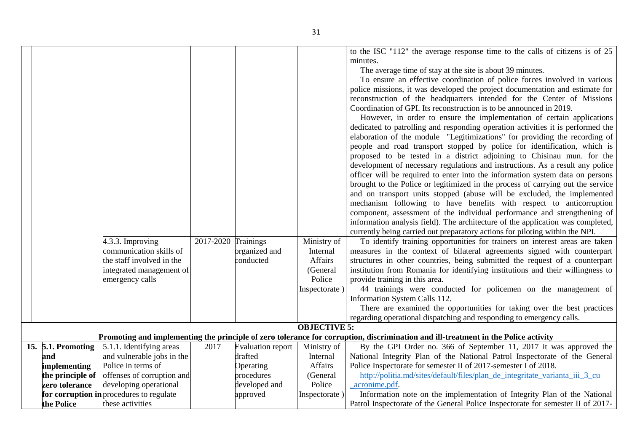|  |                    |                                          |                     |                            |                     | to the ISC "112" the average response time to the calls of citizens is of 25                                                       |
|--|--------------------|------------------------------------------|---------------------|----------------------------|---------------------|------------------------------------------------------------------------------------------------------------------------------------|
|  |                    |                                          |                     |                            |                     | minutes.                                                                                                                           |
|  |                    |                                          |                     |                            |                     | The average time of stay at the site is about 39 minutes.                                                                          |
|  |                    |                                          |                     |                            |                     | To ensure an effective coordination of police forces involved in various                                                           |
|  |                    |                                          |                     |                            |                     | police missions, it was developed the project documentation and estimate for                                                       |
|  |                    |                                          |                     |                            |                     | reconstruction of the headquarters intended for the Center of Missions                                                             |
|  |                    |                                          |                     |                            |                     | Coordination of GPI. Its reconstruction is to be announced in 2019.                                                                |
|  |                    |                                          |                     |                            |                     | However, in order to ensure the implementation of certain applications                                                             |
|  |                    |                                          |                     |                            |                     | dedicated to patrolling and responding operation activities it is performed the                                                    |
|  |                    |                                          |                     |                            |                     | elaboration of the module "Legitimizations" for providing the recording of                                                         |
|  |                    |                                          |                     |                            |                     | people and road transport stopped by police for identification, which is                                                           |
|  |                    |                                          |                     |                            |                     | proposed to be tested in a district adjoining to Chisinau mun. for the                                                             |
|  |                    |                                          |                     |                            |                     | development of necessary regulations and instructions. As a result any police                                                      |
|  |                    |                                          |                     |                            |                     | officer will be required to enter into the information system data on persons                                                      |
|  |                    |                                          |                     |                            |                     | brought to the Police or legitimized in the process of carrying out the service                                                    |
|  |                    |                                          |                     |                            |                     | and on transport units stopped (abuse will be excluded, the implemented                                                            |
|  |                    |                                          |                     |                            |                     | mechanism following to have benefits with respect to anticorruption                                                                |
|  |                    |                                          |                     |                            |                     | component, assessment of the individual performance and strengthening of                                                           |
|  |                    |                                          |                     |                            |                     | information analysis field). The architecture of the application was completed,                                                    |
|  |                    |                                          |                     |                            |                     | currently being carried out preparatory actions for piloting within the NPI.                                                       |
|  |                    | 4.3.3. Improving                         | 2017-2020 Trainings |                            | Ministry of         | To identify training opportunities for trainers on interest areas are taken                                                        |
|  |                    |                                          |                     |                            |                     |                                                                                                                                    |
|  |                    | communication skills of                  |                     | organized and<br>conducted | Internal            | measures in the context of bilateral agreements signed with counterpart                                                            |
|  |                    | the staff involved in the                |                     |                            | Affairs             | structures in other countries, being submitted the request of a counterpart                                                        |
|  |                    | integrated management of                 |                     |                            | (General            | institution from Romania for identifying institutions and their willingness to                                                     |
|  |                    | emergency calls                          |                     |                            | Police              | provide training in this area.                                                                                                     |
|  |                    |                                          |                     |                            | Inspectorate)       | 44 trainings were conducted for policemen on the management of                                                                     |
|  |                    |                                          |                     |                            |                     | Information System Calls 112.                                                                                                      |
|  |                    |                                          |                     |                            |                     | There are examined the opportunities for taking over the best practices                                                            |
|  |                    |                                          |                     |                            |                     | regarding operational dispatching and responding to emergency calls.                                                               |
|  |                    |                                          |                     |                            | <b>OBJECTIVE 5:</b> |                                                                                                                                    |
|  |                    |                                          |                     |                            |                     | Promoting and implementing the principle of zero tolerance for corruption, discrimination and ill-treatment in the Police activity |
|  | 15. 5.1. Promoting | 5.1.1. Identifying areas                 | 2017                | <b>Evaluation report</b>   | Ministry of         | By the GPI Order no. 366 of September 11, 2017 it was approved the                                                                 |
|  | and                | and vulnerable jobs in the               |                     | drafted                    | Internal            | National Integrity Plan of the National Patrol Inspectorate of the General                                                         |
|  | implementing       | Police in terms of                       |                     | Operating                  | Affairs             | Police Inspectorate for semester II of 2017-semester I of 2018.                                                                    |
|  | the principle of   | offenses of corruption and               |                     | procedures                 | (General            | http://politia.md/sites/default/files/plan_de_integritate_varianta_iii_3_cu                                                        |
|  | zero tolerance     | developing operational                   |                     | developed and              | Police              | acronime.pdf.                                                                                                                      |
|  |                    | for corruption in procedures to regulate |                     | approved                   | Inspectorate)       | Information note on the implementation of Integrity Plan of the National                                                           |
|  | the Police         | these activities                         |                     |                            |                     | Patrol Inspectorate of the General Police Inspectorate for semester II of 2017-                                                    |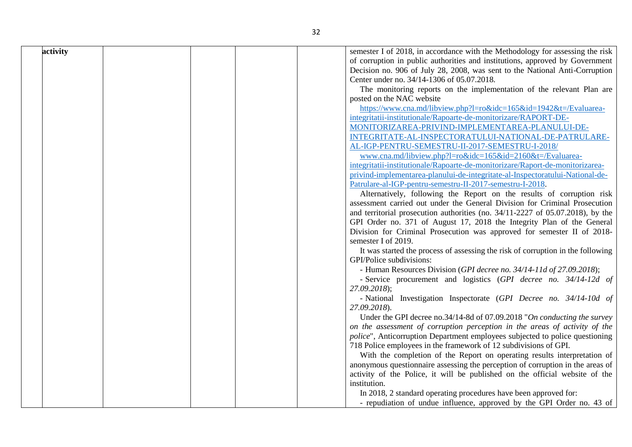| activity | semester I of 2018, in accordance with the Methodology for assessing the risk   |
|----------|---------------------------------------------------------------------------------|
|          | of corruption in public authorities and institutions, approved by Government    |
|          | Decision no. 906 of July 28, 2008, was sent to the National Anti-Corruption     |
|          | Center under no. 34/14-1306 of 05.07.2018.                                      |
|          | The monitoring reports on the implementation of the relevant Plan are           |
|          | posted on the NAC website                                                       |
|          | https://www.cna.md/libview.php?l=ro&idc=165&id=1942&t=/Evaluarea-               |
|          | integritatii-institutionale/Rapoarte-de-monitorizare/RAPORT-DE-                 |
|          | MONITORIZAREA-PRIVIND-IMPLEMENTAREA-PLANULUI-DE-                                |
|          | INTEGRITATE-AL-INSPECTORATULUI-NATIONAL-DE-PATRULARE-                           |
|          | AL-IGP-PENTRU-SEMESTRU-II-2017-SEMESTRU-I-2018/                                 |
|          | www.cna.md/libview.php?l=ro&idc=165&id=2160&t=/Evaluarea-                       |
|          | integritatii-institutionale/Rapoarte-de-monitorizare/Raport-de-monitorizarea-   |
|          | privind-implementarea-planului-de-integritate-al-Inspectoratului-National-de-   |
|          | Patrulare-al-IGP-pentru-semestru-II-2017-semestru-I-2018.                       |
|          | Alternatively, following the Report on the results of corruption risk           |
|          | assessment carried out under the General Division for Criminal Prosecution      |
|          | and territorial prosecution authorities (no. 34/11-2227 of 05.07.2018), by the  |
|          | GPI Order no. 371 of August 17, 2018 the Integrity Plan of the General          |
|          | Division for Criminal Prosecution was approved for semester II of 2018-         |
|          | semester I of 2019.                                                             |
|          | It was started the process of assessing the risk of corruption in the following |
|          | GPI/Police subdivisions:                                                        |
|          | - Human Resources Division (GPI decree no. 34/14-11d of 27.09.2018);            |
|          | - Service procurement and logistics (GPI decree no. 34/14-12d of                |
|          | 27.09.2018);                                                                    |
|          | - National Investigation Inspectorate (GPI Decree no. 34/14-10d of              |
|          | 27.09.2018).                                                                    |
|          | Under the GPI decree no.34/14-8d of 07.09.2018 "On conducting the survey        |
|          | on the assessment of corruption perception in the areas of activity of the      |
|          | police", Anticorruption Department employees subjected to police questioning    |
|          | 718 Police employees in the framework of 12 subdivisions of GPI.                |
|          | With the completion of the Report on operating results interpretation of        |
|          | anonymous questionnaire assessing the perception of corruption in the areas of  |
|          | activity of the Police, it will be published on the official website of the     |
|          | institution.                                                                    |
|          | In 2018, 2 standard operating procedures have been approved for:                |
|          | - repudiation of undue influence, approved by the GPI Order no. 43 of           |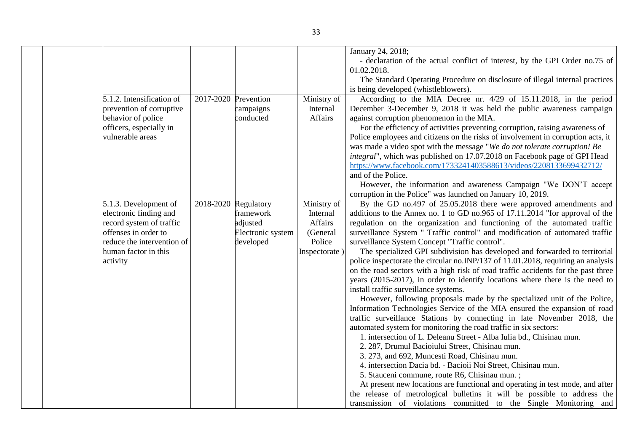|                                                                                                                                                                       |                        |                                                         |                                                                           | January 24, 2018;<br>- declaration of the actual conflict of interest, by the GPI Order no.75 of<br>01.02.2018.<br>The Standard Operating Procedure on disclosure of illegal internal practices<br>is being developed (whistleblowers).                                                                                                                                                                                                                                                                                                                                                                                                                                                                                                                                                                                                                                                                                                                                                                                                                                                                                                                                                                                                                                                                                                                                                                                                                                                                                                                                               |
|-----------------------------------------------------------------------------------------------------------------------------------------------------------------------|------------------------|---------------------------------------------------------|---------------------------------------------------------------------------|---------------------------------------------------------------------------------------------------------------------------------------------------------------------------------------------------------------------------------------------------------------------------------------------------------------------------------------------------------------------------------------------------------------------------------------------------------------------------------------------------------------------------------------------------------------------------------------------------------------------------------------------------------------------------------------------------------------------------------------------------------------------------------------------------------------------------------------------------------------------------------------------------------------------------------------------------------------------------------------------------------------------------------------------------------------------------------------------------------------------------------------------------------------------------------------------------------------------------------------------------------------------------------------------------------------------------------------------------------------------------------------------------------------------------------------------------------------------------------------------------------------------------------------------------------------------------------------|
| 5.1.2. Intensification of<br>prevention of corruptive<br>behavior of police<br>officers, especially in<br>vulnerable areas                                            | 2017-2020              | Prevention<br>campaigns<br>conducted                    | Ministry of<br>Internal<br>Affairs                                        | According to the MIA Decree nr. 4/29 of 15.11.2018, in the period<br>December 3-December 9, 2018 it was held the public awareness campaign<br>against corruption phenomenon in the MIA.<br>For the efficiency of activities preventing corruption, raising awareness of<br>Police employees and citizens on the risks of involvement in corruption acts, it<br>was made a video spot with the message "We do not tolerate corruption! Be<br>integral", which was published on 17.07.2018 on Facebook page of GPI Head<br>https://www.facebook.com/1733241403588613/videos/2208133699432712/<br>and of the Police.<br>However, the information and awareness Campaign "We DON'T accept<br>corruption in the Police" was launched on January 10, 2019.                                                                                                                                                                                                                                                                                                                                                                                                                                                                                                                                                                                                                                                                                                                                                                                                                                  |
| 5.1.3. Development of<br>electronic finding and<br>record system of traffic<br>offenses in order to<br>reduce the intervention of<br>human factor in this<br>activity | $2018-2020$ Regulatory | framework<br>adjusted<br>Electronic system<br>developed | Ministry of<br>Internal<br>Affairs<br>(General<br>Police<br>Inspectorate) | By the GD no.497 of 25.05.2018 there were approved amendments and<br>additions to the Annex no. 1 to GD no.965 of 17.11.2014 "for approval of the<br>regulation on the organization and functioning of the automated traffic<br>surveillance System " Traffic control" and modification of automated traffic<br>surveillance System Concept "Traffic control".<br>The specialized GPI subdivision has developed and forwarded to territorial<br>police inspectorate the circular no.INP/137 of 11.01.2018, requiring an analysis<br>on the road sectors with a high risk of road traffic accidents for the past three<br>years (2015-2017), in order to identify locations where there is the need to<br>install traffic surveillance systems.<br>However, following proposals made by the specialized unit of the Police,<br>Information Technologies Service of the MIA ensured the expansion of road<br>traffic surveillance Stations by connecting in late November 2018, the<br>automated system for monitoring the road traffic in six sectors:<br>1. intersection of L. Deleanu Street - Alba Iulia bd., Chisinau mun.<br>2. 287, Drumul Bacioiului Street, Chisinau mun.<br>3. 273, and 692, Muncesti Road, Chisinau mun.<br>4. intersection Dacia bd. - Bacioii Noi Street, Chisinau mun.<br>5. Stauceni commune, route R6, Chisinau mun.;<br>At present new locations are functional and operating in test mode, and after<br>the release of metrological bulletins it will be possible to address the<br>transmission of violations committed to the Single Monitoring and |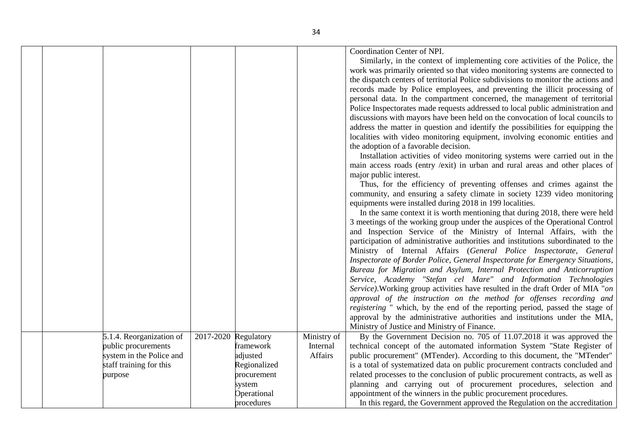|                          |           |              |             | Coordination Center of NPI.<br>Similarly, in the context of implementing core activities of the Police, the<br>work was primarily oriented so that video monitoring systems are connected to<br>the dispatch centers of territorial Police subdivisions to monitor the actions and<br>records made by Police employees, and preventing the illicit processing of<br>personal data. In the compartment concerned, the management of territorial<br>Police Inspectorates made requests addressed to local public administration and<br>discussions with mayors have been held on the convocation of local councils to<br>address the matter in question and identify the possibilities for equipping the<br>localities with video monitoring equipment, involving economic entities and<br>the adoption of a favorable decision.<br>Installation activities of video monitoring systems were carried out in the<br>main access roads (entry /exit) in urban and rural areas and other places of<br>major public interest.<br>Thus, for the efficiency of preventing offenses and crimes against the<br>community, and ensuring a safety climate in society 1239 video monitoring<br>equipments were installed during 2018 in 199 localities.<br>In the same context it is worth mentioning that during 2018, there were held<br>3 meetings of the working group under the auspices of the Operational Control<br>and Inspection Service of the Ministry of Internal Affairs, with the<br>participation of administrative authorities and institutions subordinated to the<br>Ministry of Internal Affairs (General Police Inspectorate, General<br>Inspectorate of Border Police, General Inspectorate for Emergency Situations,<br>Bureau for Migration and Asylum, Internal Protection and Anticorruption<br>Service, Academy "Stefan cel Mare" and Information Technologies<br>Service). Working group activities have resulted in the draft Order of MIA "on<br>approval of the instruction on the method for offenses recording and<br>registering " which, by the end of the reporting period, passed the stage of<br>approval by the administrative authorities and institutions under the MIA, |
|--------------------------|-----------|--------------|-------------|------------------------------------------------------------------------------------------------------------------------------------------------------------------------------------------------------------------------------------------------------------------------------------------------------------------------------------------------------------------------------------------------------------------------------------------------------------------------------------------------------------------------------------------------------------------------------------------------------------------------------------------------------------------------------------------------------------------------------------------------------------------------------------------------------------------------------------------------------------------------------------------------------------------------------------------------------------------------------------------------------------------------------------------------------------------------------------------------------------------------------------------------------------------------------------------------------------------------------------------------------------------------------------------------------------------------------------------------------------------------------------------------------------------------------------------------------------------------------------------------------------------------------------------------------------------------------------------------------------------------------------------------------------------------------------------------------------------------------------------------------------------------------------------------------------------------------------------------------------------------------------------------------------------------------------------------------------------------------------------------------------------------------------------------------------------------------------------------------------------------------------------------------------------------------------------------------|
| 5.1.4. Reorganization of | 2017-2020 | Regulatory   | Ministry of | Ministry of Justice and Ministry of Finance.<br>By the Government Decision no. 705 of 11.07.2018 it was approved the                                                                                                                                                                                                                                                                                                                                                                                                                                                                                                                                                                                                                                                                                                                                                                                                                                                                                                                                                                                                                                                                                                                                                                                                                                                                                                                                                                                                                                                                                                                                                                                                                                                                                                                                                                                                                                                                                                                                                                                                                                                                                 |
| public procurements      |           | framework    | Internal    | technical concept of the automated information System "State Register of                                                                                                                                                                                                                                                                                                                                                                                                                                                                                                                                                                                                                                                                                                                                                                                                                                                                                                                                                                                                                                                                                                                                                                                                                                                                                                                                                                                                                                                                                                                                                                                                                                                                                                                                                                                                                                                                                                                                                                                                                                                                                                                             |
| system in the Police and |           | adjusted     | Affairs     | public procurement" (MTender). According to this document, the "MTender"                                                                                                                                                                                                                                                                                                                                                                                                                                                                                                                                                                                                                                                                                                                                                                                                                                                                                                                                                                                                                                                                                                                                                                                                                                                                                                                                                                                                                                                                                                                                                                                                                                                                                                                                                                                                                                                                                                                                                                                                                                                                                                                             |
| staff training for this  |           | Regionalized |             | is a total of systematized data on public procurement contracts concluded and                                                                                                                                                                                                                                                                                                                                                                                                                                                                                                                                                                                                                                                                                                                                                                                                                                                                                                                                                                                                                                                                                                                                                                                                                                                                                                                                                                                                                                                                                                                                                                                                                                                                                                                                                                                                                                                                                                                                                                                                                                                                                                                        |
| purpose                  |           | procurement  |             | related processes to the conclusion of public procurement contracts, as well as                                                                                                                                                                                                                                                                                                                                                                                                                                                                                                                                                                                                                                                                                                                                                                                                                                                                                                                                                                                                                                                                                                                                                                                                                                                                                                                                                                                                                                                                                                                                                                                                                                                                                                                                                                                                                                                                                                                                                                                                                                                                                                                      |
|                          |           | system       |             | planning and carrying out of procurement procedures, selection and                                                                                                                                                                                                                                                                                                                                                                                                                                                                                                                                                                                                                                                                                                                                                                                                                                                                                                                                                                                                                                                                                                                                                                                                                                                                                                                                                                                                                                                                                                                                                                                                                                                                                                                                                                                                                                                                                                                                                                                                                                                                                                                                   |
|                          |           | Operational  |             | appointment of the winners in the public procurement procedures.                                                                                                                                                                                                                                                                                                                                                                                                                                                                                                                                                                                                                                                                                                                                                                                                                                                                                                                                                                                                                                                                                                                                                                                                                                                                                                                                                                                                                                                                                                                                                                                                                                                                                                                                                                                                                                                                                                                                                                                                                                                                                                                                     |
|                          |           | procedures   |             | In this regard, the Government approved the Regulation on the accreditation                                                                                                                                                                                                                                                                                                                                                                                                                                                                                                                                                                                                                                                                                                                                                                                                                                                                                                                                                                                                                                                                                                                                                                                                                                                                                                                                                                                                                                                                                                                                                                                                                                                                                                                                                                                                                                                                                                                                                                                                                                                                                                                          |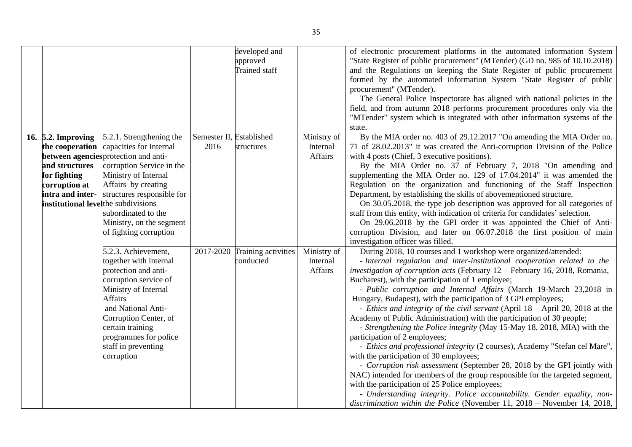|                                                                                                                                                     |                                                                                                                                                                                                                                                                                     |                                  | developed and<br>approved<br>Trained staff |                                    | of electronic procurement platforms in the automated information System<br>"State Register of public procurement" (MTender) (GD no. 985 of 10.10.2018)<br>and the Regulations on keeping the State Register of public procurement<br>formed by the automated information System "State Register of public<br>procurement" (MTender).<br>The General Police Inspectorate has aligned with national policies in the<br>field, and from autumn 2018 performs procurement procedures only via the<br>"MTender" system which is integrated with other information systems of the<br>state.                                                                                                                                                                                                                                                                                                                                                                                                                                                                                                                                                                                                               |
|-----------------------------------------------------------------------------------------------------------------------------------------------------|-------------------------------------------------------------------------------------------------------------------------------------------------------------------------------------------------------------------------------------------------------------------------------------|----------------------------------|--------------------------------------------|------------------------------------|-----------------------------------------------------------------------------------------------------------------------------------------------------------------------------------------------------------------------------------------------------------------------------------------------------------------------------------------------------------------------------------------------------------------------------------------------------------------------------------------------------------------------------------------------------------------------------------------------------------------------------------------------------------------------------------------------------------------------------------------------------------------------------------------------------------------------------------------------------------------------------------------------------------------------------------------------------------------------------------------------------------------------------------------------------------------------------------------------------------------------------------------------------------------------------------------------------|
| 16. 5.2. Improving<br>the cooperation<br>and structures<br>for fighting<br>corruption at<br>intra and inter-<br>institutional levelthe subdivisions | 5.2.1. Strengthening the<br>capacities for Internal<br>between agencies protection and anti-<br>corruption Service in the<br>Ministry of Internal<br>Affairs by creating<br>structures responsible for<br>subordinated to the<br>Ministry, on the segment<br>of fighting corruption | Semester II, Established<br>2016 | structures                                 | Ministry of<br>Internal<br>Affairs | By the MIA order no. 403 of 29.12.2017 "On amending the MIA Order no.<br>71 of 28.02.2013" it was created the Anti-corruption Division of the Police<br>with 4 posts (Chief, 3 executive positions).<br>By the MIA Order no. 37 of February 7, 2018 "On amending and<br>supplementing the MIA Order no. 129 of 17.04.2014" it was amended the<br>Regulation on the organization and functioning of the Staff Inspection<br>Department, by establishing the skills of abovementioned structure.<br>On 30.05.2018, the type job description was approved for all categories of<br>staff from this entity, with indication of criteria for candidates' selection.<br>On 29.06.2018 by the GPI order it was appointed the Chief of Anti-<br>corruption Division, and later on 06.07.2018 the first position of main<br>investigation officer was filled.                                                                                                                                                                                                                                                                                                                                                |
|                                                                                                                                                     | $5.2.3$ . Achievement,<br>together with internal<br>protection and anti-<br>corruption service of<br>Ministry of Internal<br>Affairs<br>and National Anti-<br>Corruption Center, of<br>certain training<br>programmes for police<br>staff in preventing<br>corruption               |                                  | 2017-2020 Training activities<br>conducted | Ministry of<br>Internal<br>Affairs | During 2018, 10 courses and 1 workshop were organized/attended:<br>- Internal regulation and inter-institutional cooperation related to the<br>investigation of corruption acts (February $12$ – February 16, 2018, Romania,<br>Bucharest), with the participation of 1 employee;<br>- Public corruption and Internal Affairs (March 19-March 23,2018 in<br>Hungary, Budapest), with the participation of 3 GPI employees;<br>- Ethics and integrity of the civil servant (April 18 – April 20, 2018 at the<br>Academy of Public Administration) with the participation of 30 people;<br>- Strengthening the Police integrity (May 15-May 18, 2018, MIA) with the<br>participation of 2 employees;<br>- Ethics and professional integrity (2 courses), Academy "Stefan cel Mare",<br>with the participation of 30 employees;<br>- Corruption risk assessment (September 28, 2018 by the GPI jointly with<br>NAC) intended for members of the group responsible for the targeted segment,<br>with the participation of 25 Police employees;<br>- Understanding integrity. Police accountability. Gender equality, non-<br>discrimination within the Police (November 11, $2018$ – November 14, 2018, |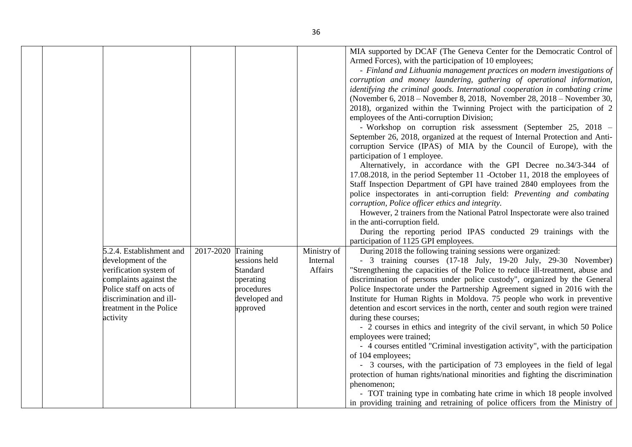|                                                                                                                                                                                                 |           |                                                                                                      |                                    | MIA supported by DCAF (The Geneva Center for the Democratic Control of<br>Armed Forces), with the participation of 10 employees;<br>- Finland and Lithuania management practices on modern investigations of<br>corruption and money laundering, gathering of operational information,<br>identifying the criminal goods. International cooperation in combating crime<br>(November 6, 2018 – November 8, 2018, November 28, 2018 – November 30,<br>2018), organized within the Twinning Project with the participation of 2<br>employees of the Anti-corruption Division;<br>- Workshop on corruption risk assessment (September 25, 2018 -<br>September 26, 2018, organized at the request of Internal Protection and Anti-<br>corruption Service (IPAS) of MIA by the Council of Europe), with the<br>participation of 1 employee.<br>Alternatively, in accordance with the GPI Decree no.34/3-344 of<br>17.08.2018, in the period September 11 -October 11, 2018 the employees of<br>Staff Inspection Department of GPI have trained 2840 employees from the<br>police inspectorates in anti-corruption field: Preventing and combating<br>corruption, Police officer ethics and integrity.<br>However, 2 trainers from the National Patrol Inspectorate were also trained<br>in the anti-corruption field.<br>During the reporting period IPAS conducted 29 trainings with the |
|-------------------------------------------------------------------------------------------------------------------------------------------------------------------------------------------------|-----------|------------------------------------------------------------------------------------------------------|------------------------------------|-------------------------------------------------------------------------------------------------------------------------------------------------------------------------------------------------------------------------------------------------------------------------------------------------------------------------------------------------------------------------------------------------------------------------------------------------------------------------------------------------------------------------------------------------------------------------------------------------------------------------------------------------------------------------------------------------------------------------------------------------------------------------------------------------------------------------------------------------------------------------------------------------------------------------------------------------------------------------------------------------------------------------------------------------------------------------------------------------------------------------------------------------------------------------------------------------------------------------------------------------------------------------------------------------------------------------------------------------------------------------------------|
| 5.2.4. Establishment and<br>development of the<br>verification system of<br>complaints against the<br>Police staff on acts of<br>discrimination and ill-<br>treatment in the Police<br>activity | 2017-2020 | Training<br>sessions held<br><b>Standard</b><br>operating<br>procedures<br>developed and<br>approved | Ministry of<br>Internal<br>Affairs | participation of 1125 GPI employees.<br>During 2018 the following training sessions were organized:<br>- 3 training courses (17-18 July, 19-20 July, 29-30 November)<br>"Strengthening the capacities of the Police to reduce ill-treatment, abuse and<br>discrimination of persons under police custody", organized by the General<br>Police Inspectorate under the Partnership Agreement signed in 2016 with the<br>Institute for Human Rights in Moldova. 75 people who work in preventive<br>detention and escort services in the north, center and south region were trained<br>during these courses;<br>- 2 courses in ethics and integrity of the civil servant, in which 50 Police<br>employees were trained;<br>- 4 courses entitled "Criminal investigation activity", with the participation<br>of 104 employees;<br>- 3 courses, with the participation of 73 employees in the field of legal<br>protection of human rights/national minorities and fighting the discrimination<br>phenomenon;<br>- TOT training type in combating hate crime in which 18 people involved<br>in providing training and retraining of police officers from the Ministry of                                                                                                                                                                                                               |